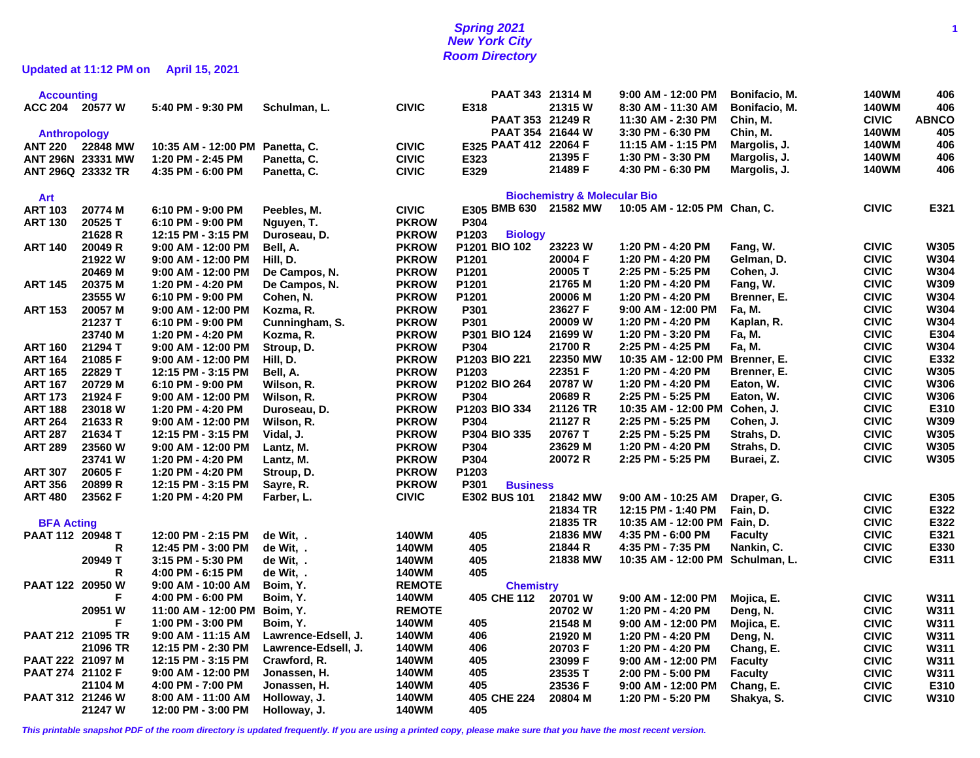# **Spring 2021 1 New York City Room Directory**

**Updated at 11:12 PM on April 15, 2021**

| <b>Accounting</b>   |                   |                      |                        |               | PAAT 343 21314 M                |                                         | 9:00 AM - 12:00 PM               | Bonifacio, M.  | 140WM        | 406          |
|---------------------|-------------------|----------------------|------------------------|---------------|---------------------------------|-----------------------------------------|----------------------------------|----------------|--------------|--------------|
| <b>ACC 204</b>      | 20577 W           | 5:40 PM - 9:30 PM    | Schulman, L.           | <b>CIVIC</b>  | E318                            | 21315 W                                 | 8:30 AM - 11:30 AM               | Bonifacio, M.  | <b>140WM</b> | 406          |
|                     |                   |                      |                        |               | PAAT 353 21249 R                |                                         | 11:30 AM - 2:30 PM               | Chin, M.       | <b>CIVIC</b> | <b>ABNCO</b> |
| <b>Anthropology</b> |                   |                      |                        |               | PAAT 354 21644 W                |                                         | 3:30 PM - 6:30 PM                | Chin, M.       | <b>140WM</b> | 405          |
| <b>ANT 220</b>      | 22848 MW          | 10:35 AM - 12:00 PM  | Panetta, C.            | <b>CIVIC</b>  | E325 PAAT 412 22064 F           |                                         | 11:15 AM - 1:15 PM               | Margolis, J.   | <b>140WM</b> | 406          |
|                     | ANT 296N 23331 MW | 1:20 PM - 2:45 PM    | Panetta, C.            | <b>CIVIC</b>  | E323                            | 21395 F                                 | 1:30 PM - 3:30 PM                | Margolis, J.   | <b>140WM</b> | 406          |
| ANT 296Q 23332 TR   |                   | 4:35 PM - 6:00 PM    | Panetta, C.            | <b>CIVIC</b>  | E329                            | 21489 F                                 | 4:30 PM - 6:30 PM                | Margolis, J.   | 140WM        | 406          |
|                     |                   |                      |                        |               |                                 |                                         |                                  |                |              |              |
| Art                 |                   |                      |                        |               |                                 | <b>Biochemistry &amp; Molecular Bio</b> |                                  |                |              |              |
| <b>ART 103</b>      | 20774 M           | 6:10 PM - 9:00 PM    | Peebles, M.            | <b>CIVIC</b>  | E305 BMB 630 21582 MW           |                                         | 10:05 AM - 12:05 PM Chan, C.     |                | <b>CIVIC</b> | E321         |
| <b>ART 130</b>      | 20525 T           | 6:10 PM - 9:00 PM    | Nguyen, T.             | <b>PKROW</b>  | P304                            |                                         |                                  |                |              |              |
|                     | 21628 R           | 12:15 PM - 3:15 PM   | Duroseau, D.           | <b>PKROW</b>  | P1203<br><b>Biology</b>         |                                         |                                  |                |              |              |
| <b>ART 140</b>      | 20049 R           | $9:00$ AM - 12:00 PM | Bell, A.               | <b>PKROW</b>  | P1201 BIO 102                   | 23223 W                                 | 1:20 PM - 4:20 PM                | Fang, W.       | <b>CIVIC</b> | W305         |
|                     | 21922W            | 9:00 AM - 12:00 PM   | Hill, D.               | <b>PKROW</b>  | P1201                           | 20004 F                                 | 1:20 PM - 4:20 PM                | Gelman, D.     | <b>CIVIC</b> | W304         |
|                     | 20469 M           | $9:00$ AM - 12:00 PM | De Campos, N.          | <b>PKROW</b>  | P1201                           | 20005 T                                 | 2:25 PM - 5:25 PM                | Cohen, J.      | <b>CIVIC</b> | W304         |
| <b>ART 145</b>      | 20375 M           | 1:20 PM - 4:20 PM    | De Campos, N.          | <b>PKROW</b>  | P1201                           | 21765 M                                 | 1:20 PM - 4:20 PM                | Fang, W.       | <b>CIVIC</b> | W309         |
|                     | 23555W            | 6:10 PM - 9:00 PM    | Cohen, N.              | <b>PKROW</b>  | P1201                           | 20006 M                                 | 1:20 PM - 4:20 PM                | Brenner, E.    | <b>CIVIC</b> | W304         |
| <b>ART 153</b>      | 20057 M           | 9:00 AM - 12:00 PM   | Kozma, R.              | <b>PKROW</b>  | P301                            | 23627 F                                 | $9:00$ AM - 12:00 PM             | Fa, M.         | <b>CIVIC</b> | W304         |
|                     | 21237 T           | 6:10 PM - 9:00 PM    | Cunningham, S.         | <b>PKROW</b>  | P301                            | 20009 W                                 | 1:20 PM - 4:20 PM                | Kaplan, R.     | <b>CIVIC</b> | W304         |
|                     | 23740 M           | 1:20 PM - 4:20 PM    | Kozma, R.              | <b>PKROW</b>  | P301 BIO 124                    | 21699 W                                 | 1:20 PM - 3:20 PM                | Fa, M.         | <b>CIVIC</b> | E304         |
| <b>ART 160</b>      | 21294 T           | $9:00$ AM - 12:00 PM | Stroup, D.             | <b>PKROW</b>  | P304                            | 21700 R                                 | 2:25 PM - 4:25 PM                | Fa, M.         | <b>CIVIC</b> | W304         |
| <b>ART 164</b>      | 21085 F           | 9:00 AM - 12:00 PM   | Hill, D.               | <b>PKROW</b>  | P1203 BIO 221                   | 22350 MW                                | 10:35 AM - 12:00 PM              | Brenner, E.    | <b>CIVIC</b> | E332         |
| <b>ART 165</b>      | 22829 T           | 12:15 PM - 3:15 PM   | Bell, A.               | <b>PKROW</b>  | P1203                           | 22351 F                                 | 1:20 PM - 4:20 PM                | Brenner, E.    | <b>CIVIC</b> | W305         |
| <b>ART 167</b>      | 20729 M           | 6:10 PM - 9:00 PM    | Wilson, R.             | <b>PKROW</b>  | P1202 BIO 264                   | 20787 W                                 | 1:20 PM - 4:20 PM                | Eaton, W.      | <b>CIVIC</b> | W306         |
| <b>ART 173</b>      | 21924 F           | $9:00$ AM - 12:00 PM | Wilson, R.             | <b>PKROW</b>  | P304                            | 20689 R                                 | 2:25 PM - 5:25 PM                | Eaton, W.      | <b>CIVIC</b> | W306         |
| <b>ART 188</b>      | 23018 W           | 1:20 PM - 4:20 PM    | Duroseau, D.           | <b>PKROW</b>  | P1203 BIO 334                   | 21126 TR                                | 10:35 AM - 12:00 PM              | Cohen, J.      | <b>CIVIC</b> | E310         |
| <b>ART 264</b>      | 21633 R           | 9:00 AM - 12:00 PM   | Wilson, R.             | <b>PKROW</b>  | P304                            | 21127 R                                 | 2:25 PM - 5:25 PM                | Cohen, J.      | <b>CIVIC</b> | W309         |
| <b>ART 287</b>      | 21634 T           | 12:15 PM - 3:15 PM   | Vidal, J.              | <b>PKROW</b>  | P304 BIO 335                    | 20767 T                                 | 2:25 PM - 5:25 PM                | Strahs, D.     | <b>CIVIC</b> | W305         |
| <b>ART 289</b>      | 23560 W           | 9:00 AM - 12:00 PM   | Lantz, M.              | <b>PKROW</b>  | P304                            | 23629 M                                 | 1:20 PM - 4:20 PM                | Strahs, D.     | <b>CIVIC</b> | W305         |
|                     | 23741 W           | 1:20 PM - 4:20 PM    | Lantz, M.              | <b>PKROW</b>  | P304                            | 20072 R                                 | 2:25 PM - 5:25 PM                | Buraei, Z.     | <b>CIVIC</b> | W305         |
| <b>ART 307</b>      | 20605 F           | 1:20 PM - 4:20 PM    | Stroup, D.             | <b>PKROW</b>  | P1203                           |                                         |                                  |                |              |              |
| <b>ART 356</b>      | 20899 R           | 12:15 PM - 3:15 PM   | Sayre, R.              | <b>PKROW</b>  | P301                            |                                         |                                  |                |              |              |
| <b>ART 480</b>      | 23562 F           | 1:20 PM - 4:20 PM    | Farber, L.             | <b>CIVIC</b>  | <b>Business</b><br>E302 BUS 101 | 21842 MW                                | 9:00 AM - 10:25 AM               |                | <b>CIVIC</b> | E305         |
|                     |                   |                      |                        |               |                                 | 21834 TR                                |                                  | Draper, G.     | <b>CIVIC</b> |              |
|                     |                   |                      |                        |               |                                 |                                         | 12:15 PM - 1:40 PM               | Fain, D.       |              | E322<br>E322 |
| <b>BFA Acting</b>   |                   |                      |                        |               |                                 | 21835 TR                                | 10:35 AM - 12:00 PM Fain, D.     |                | <b>CIVIC</b> |              |
| PAAT 112 20948 T    |                   | 12:00 PM - 2:15 PM   | de Wit, .<br>de Wit, . | <b>140WM</b>  | 405                             | 21836 MW                                | 4:35 PM - 6:00 PM                | <b>Faculty</b> | <b>CIVIC</b> | E321<br>E330 |
|                     | R                 | 12:45 PM - 3:00 PM   |                        | <b>140WM</b>  | 405                             | 21844 R                                 | 4:35 PM - 7:35 PM                | Nankin, C.     | <b>CIVIC</b> |              |
|                     | 20949 T           | 3:15 PM - 5:30 PM    | de Wit, .              | <b>140WM</b>  | 405                             | 21838 MW                                | 10:35 AM - 12:00 PM Schulman, L. |                | <b>CIVIC</b> | E311         |
|                     | R                 | 4:00 PM - 6:15 PM    | de Wit,                | <b>140WM</b>  | 405                             |                                         |                                  |                |              |              |
| PAAT 122 20950 W    |                   | 9:00 AM - 10:00 AM   | Boim, Y.               | <b>REMOTE</b> | <b>Chemistry</b>                |                                         |                                  |                |              |              |
|                     | F                 | 4:00 PM - 6:00 PM    | Boim, Y.               | <b>140WM</b>  | 405 CHE 112                     | 20701 W                                 | 9:00 AM - 12:00 PM               | Mojica, E.     | <b>CIVIC</b> | W311         |
|                     | 20951 W           | 11:00 AM - 12:00 PM  | Boim, Y.               | <b>REMOTE</b> |                                 | 20702 W                                 | 1:20 PM - 4:20 PM                | Deng, N.       | <b>CIVIC</b> | W311         |
|                     | F.                | 1:00 PM - 3:00 PM    | Boim, Y.               | 140WM         | 405                             | 21548 M                                 | $9:00$ AM - 12:00 PM             | Mojica, E.     | <b>CIVIC</b> | W311         |
| PAAT 212 21095 TR   |                   | 9:00 AM - 11:15 AM   | Lawrence-Edsell, J.    | 140WM         | 406                             | 21920 M                                 | 1:20 PM - 4:20 PM                | Deng, N.       | <b>CIVIC</b> | W311         |
|                     | 21096 TR          | 12:15 PM - 2:30 PM   | Lawrence-Edsell, J.    | <b>140WM</b>  | 406                             | 20703 F                                 | 1:20 PM - 4:20 PM                | Chang, E.      | <b>CIVIC</b> | W311         |
| PAAT 222 21097 M    |                   | 12:15 PM - 3:15 PM   | Crawford, R.           | <b>140WM</b>  | 405                             | 23099 F                                 | 9:00 AM - 12:00 PM               | <b>Faculty</b> | <b>CIVIC</b> | W311         |
| PAAT 274 21102 F    |                   | 9:00 AM - 12:00 PM   | Jonassen, H.           | <b>140WM</b>  | 405                             | 23535 T                                 | 2:00 PM - 5:00 PM                | <b>Faculty</b> | <b>CIVIC</b> | W311         |
|                     | 21104 M           | 4:00 PM - 7:00 PM    | Jonassen, H.           | <b>140WM</b>  | 405                             | 23536 F                                 | 9:00 AM - 12:00 PM               | Chang, E.      | <b>CIVIC</b> | E310         |
| PAAT 312 21246 W    |                   | 8:00 AM - 11:00 AM   | Holloway, J.           | <b>140WM</b>  | 405 CHE 224                     | 20804 M                                 | 1:20 PM - 5:20 PM                | Shakya, S.     | <b>CIVIC</b> | W310         |
|                     | 21247 W           | 12:00 PM - 3:00 PM   | Holloway, J.           | 140WM         | 405                             |                                         |                                  |                |              |              |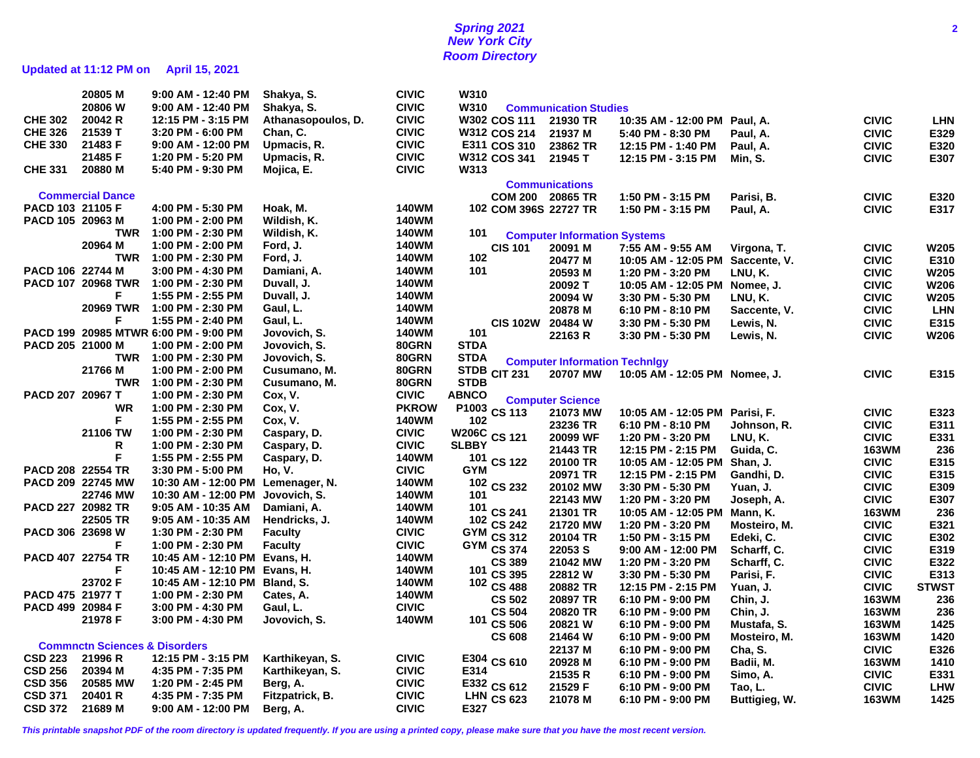# **Spring 2021 2 New York City Room Directory**

# **Updated at 11:12 PM on April 15, 2021**

|                   | 20805 M                                  | 9:00 AM - 12:40 PM                    | Shakya, S.         | <b>CIVIC</b> | W310         |                       |                                      |                                |               |              |              |
|-------------------|------------------------------------------|---------------------------------------|--------------------|--------------|--------------|-----------------------|--------------------------------------|--------------------------------|---------------|--------------|--------------|
|                   | 20806 W                                  | 9:00 AM - 12:40 PM                    | Shakya, S.         | <b>CIVIC</b> | W310         |                       | <b>Communication Studies</b>         |                                |               |              |              |
| <b>CHE 302</b>    | 20042 R                                  | 12:15 PM - 3:15 PM                    | Athanasopoulos, D. | <b>CIVIC</b> |              | W302 COS 111          | 21930 TR                             | 10:35 AM - 12:00 PM            | Paul, A.      | <b>CIVIC</b> | <b>LHN</b>   |
| <b>CHE 326</b>    | 21539 T                                  | 3:20 PM - 6:00 PM                     | Chan, C.           | <b>CIVIC</b> |              | <b>W312 COS 214</b>   | 21937 M                              | 5:40 PM - 8:30 PM              | Paul, A.      | <b>CIVIC</b> | E329         |
| <b>CHE 330</b>    | 21483 F                                  | $9:00$ AM - 12:00 PM                  | Upmacis, R.        | <b>CIVIC</b> |              | E311 COS 310          | 23862 TR                             | 12:15 PM - 1:40 PM             | Paul, A.      | <b>CIVIC</b> | E320         |
|                   | 21485 F                                  | 1:20 PM - 5:20 PM                     | Upmacis, R.        | <b>CIVIC</b> |              | W312 COS 341          | 21945 T                              | 12:15 PM - 3:15 PM             | Min, S.       | <b>CIVIC</b> | E307         |
| <b>CHE 331</b>    | 20880 M                                  | 5:40 PM - 9:30 PM                     | Mojica, E.         | <b>CIVIC</b> | W313         |                       |                                      |                                |               |              |              |
|                   |                                          |                                       |                    |              |              |                       | <b>Communications</b>                |                                |               |              |              |
|                   | <b>Commercial Dance</b>                  |                                       |                    |              |              | COM 200 20865 TR      |                                      | 1:50 PM - 3:15 PM              | Parisi, B.    | <b>CIVIC</b> | E320         |
| PACD 103 21105 F  |                                          | 4:00 PM - 5:30 PM                     | Hoak, M.           | 140WM        |              | 102 COM 396S 22727 TR |                                      | 1:50 PM - 3:15 PM              | Paul, A.      | <b>CIVIC</b> | E317         |
| PACD 105 20963 M  |                                          | 1:00 PM - 2:00 PM                     | Wildish, K.        | <b>140WM</b> |              |                       |                                      |                                |               |              |              |
|                   | TWR                                      | 1:00 PM - 2:30 PM                     | Wildish, K.        | 140WM        | 101          |                       |                                      |                                |               |              |              |
|                   | 20964 M                                  | 1:00 PM - 2:00 PM                     | Ford. J.           | 140WM        |              |                       | <b>Computer Information Systems</b>  |                                |               |              | W205         |
|                   |                                          | TWR 1:00 PM - 2:30 PM                 | Ford, J.           | <b>140WM</b> | 102          | <b>CIS 101</b>        | 20091 M                              | 7:55 AM - 9:55 AM              | Virgona, T.   | <b>CIVIC</b> |              |
| PACD 106 22744 M  |                                          | 3:00 PM - 4:30 PM                     | Damiani, A.        | <b>140WM</b> | 101          |                       | 20477 M                              | 10:05 AM - 12:05 PM            | Saccente, V.  | <b>CIVIC</b> | E310<br>W205 |
|                   | <b>PACD 107 20968 TWR</b>                | 1:00 PM - 2:30 PM                     | Duvall, J.         | <b>140WM</b> |              |                       | 20593 M                              | 1:20 PM - 3:20 PM              | LNU, K.       | <b>CIVIC</b> |              |
|                   | F.                                       | 1:55 PM - 2:55 PM                     | Duvall, J.         | <b>140WM</b> |              |                       | 20092 T                              | 10:05 AM - 12:05 PM            | Nomee, J.     | <b>CIVIC</b> | <b>W206</b>  |
|                   | <b>20969 TWR</b>                         | 1:00 PM - 2:30 PM                     | Gaul, L.           | <b>140WM</b> |              |                       | 20094 W                              | 3:30 PM - 5:30 PM              | LNU, K.       | <b>CIVIC</b> | W205         |
|                   | F                                        | 1:55 PM - 2:40 PM                     | Gaul, L.           | <b>140WM</b> |              |                       | 20878 M                              | 6:10 PM - 8:10 PM              | Saccente, V.  | <b>CIVIC</b> | <b>LHN</b>   |
|                   |                                          |                                       |                    |              | 101          | CIS 102W 20484 W      |                                      | 3:30 PM - 5:30 PM              | Lewis, N.     | <b>CIVIC</b> | E315         |
|                   |                                          | PACD 199 20985 MTWR 6:00 PM - 9:00 PM | Jovovich, S.       | <b>140WM</b> |              |                       | 22163 R                              | 3:30 PM - 5:30 PM              | Lewis, N.     | <b>CIVIC</b> | <b>W206</b>  |
| PACD 205 21000 M  |                                          | 1:00 PM - 2:00 PM                     | Jovovich, S.       | 80GRN        | <b>STDA</b>  |                       |                                      |                                |               |              |              |
|                   |                                          | TWR 1:00 PM - 2:30 PM                 | Jovovich, S.       | 80GRN        | <b>STDA</b>  |                       | <b>Computer Information Techniqv</b> |                                |               |              |              |
|                   | 21766 M                                  | 1:00 PM - 2:00 PM                     | Cusumano, M.       | 80GRN        |              | STDB CIT 231          | 20707 MW                             | 10:05 AM - 12:05 PM Nomee, J.  |               | <b>CIVIC</b> | E315         |
|                   |                                          | TWR 1:00 PM - 2:30 PM                 | Cusumano, M.       | 80GRN        | <b>STDB</b>  |                       |                                      |                                |               |              |              |
| PACD 207 20967 T  |                                          | 1:00 PM - 2:30 PM                     | Cox, V.            | <b>CIVIC</b> | <b>ABNCO</b> |                       | <b>Computer Science</b>              |                                |               |              |              |
|                   | <b>WR</b>                                | 1:00 PM - 2:30 PM                     | Cox, V.            | <b>PKROW</b> |              | P1003 CS 113          | 21073 MW                             | 10:05 AM - 12:05 PM Parisi, F. |               | <b>CIVIC</b> | E323         |
|                   | F.                                       | 1:55 PM - 2:55 PM                     | Cox, V.            | <b>140WM</b> | 102          |                       | 23236 TR                             | 6:10 PM - 8:10 PM              | Johnson. R.   | <b>CIVIC</b> | E311         |
|                   | 21106 TW                                 | 1:00 PM - 2:30 PM                     | Caspary, D.        | <b>CIVIC</b> | W206C CS 121 |                       | 20099 WF                             | 1:20 PM - 3:20 PM              | LNU.K.        | <b>CIVIC</b> | E331         |
|                   | R                                        | 1:00 PM - 2:30 PM                     | Caspary, D.        | <b>CIVIC</b> | <b>SLBBY</b> |                       | 21443 TR                             | 12:15 PM - 2:15 PM             | Guida, C.     | <b>163WM</b> | 236          |
|                   | F                                        | 1:55 PM - 2:55 PM                     | Caspary, D.        | <b>140WM</b> |              | 101 CS 122            | 20100 TR                             | 10:05 AM - 12:05 PM            | Shan, J.      | <b>CIVIC</b> | E315         |
| PACD 208 22554 TR |                                          | 3:30 PM - 5:00 PM                     | Ho, V.             | <b>CIVIC</b> | <b>GYM</b>   |                       | 20971 TR                             | 12:15 PM - 2:15 PM             | Gandhi, D.    | <b>CIVIC</b> | E315         |
|                   | PACD 209 22745 MW                        | 10:30 AM - 12:00 PM                   | Lemenager, N.      | 140WM        |              | 102 CS 232            | 20102 MW                             | 3:30 PM - 5:30 PM              | Yuan, J.      | <b>CIVIC</b> | E309         |
|                   | 22746 MW                                 | 10:30 AM - 12:00 PM                   | Jovovich, S.       | <b>140WM</b> | 101          |                       | 22143 MW                             | 1:20 PM - 3:20 PM              | Joseph, A.    | <b>CIVIC</b> | E307         |
| PACD 227 20982 TR |                                          | 9:05 AM - 10:35 AM                    | Damiani, A.        | <b>140WM</b> |              | 101 CS 241            | 21301 TR                             | 10:05 AM - 12:05 PM            | Mann, K.      | <b>163WM</b> | 236          |
|                   | 22505 TR                                 | 9:05 AM - 10:35 AM                    | Hendricks, J.      | <b>140WM</b> |              | 102 CS 242            | 21720 MW                             | 1:20 PM - 3:20 PM              | Mosteiro, M.  | <b>CIVIC</b> | E321         |
| PACD 306 23698 W  |                                          | 1:30 PM - 2:30 PM                     | <b>Faculty</b>     | <b>CIVIC</b> |              | <b>GYM CS 312</b>     | 20104 TR                             | 1:50 PM - 3:15 PM              | Edeki, C.     | <b>CIVIC</b> | E302         |
|                   | F.                                       | 1:00 PM - 2:30 PM                     | Faculty            | <b>CIVIC</b> |              | GYM CS 374            | 22053 S                              | $9:00$ AM - 12:00 PM           | Scharff, C.   | <b>CIVIC</b> | E319         |
| PACD 407 22754 TR |                                          | 10:45 AM - 12:10 PM                   | Evans, H.          | <b>140WM</b> |              | <b>CS 389</b>         | 21042 MW                             | 1:20 PM - 3:20 PM              | Scharff, C.   | <b>CIVIC</b> | E322         |
|                   | F.                                       | 10:45 AM - 12:10 PM Evans, H.         |                    | <b>140WM</b> | 101          | <b>CS 395</b>         | 22812W                               | 3:30 PM - 5:30 PM              | Parisi, F.    | <b>CIVIC</b> | E313         |
|                   | 23702 F                                  | 10:45 AM - 12:10 PM Bland, S.         |                    | <b>140WM</b> |              | 102 CS 488            | 20882 TR                             | 12:15 PM - 2:15 PM             | Yuan, J.      | <b>CIVIC</b> | <b>STWST</b> |
| PACD 475 21977 T  |                                          | 1:00 PM - 2:30 PM                     | Cates, A.          | <b>140WM</b> |              | <b>CS 502</b>         | 20897 TR                             | 6:10 PM - 9:00 PM              | Chin, J.      | <b>163WM</b> | 236          |
| PACD 499 20984 F  |                                          | 3:00 PM - 4:30 PM                     | Gaul, L.           | <b>CIVIC</b> |              | <b>CS 504</b>         | 20820 TR                             | 6:10 PM - 9:00 PM              | Chin, J.      | <b>163WM</b> | 236          |
|                   | 21978 F                                  | 3:00 PM - 4:30 PM                     | Jovovich, S.       | <b>140WM</b> | 101          | <b>CS 506</b>         | 20821 W                              | 6:10 PM - 9:00 PM              | Mustafa, S.   | <b>163WM</b> | 1425         |
|                   |                                          |                                       |                    |              |              | <b>CS 608</b>         | 21464 W                              | 6:10 PM - 9:00 PM              | Mosteiro, M.  | <b>163WM</b> | 1420         |
|                   | <b>Commnctn Sciences &amp; Disorders</b> |                                       |                    |              |              |                       | 22137 M                              | 6:10 PM - 9:00 PM              | Cha, S.       | <b>CIVIC</b> | E326         |
| <b>CSD 223</b>    | 21996 R                                  | 12:15 PM - 3:15 PM                    | Karthikeyan, S.    | <b>CIVIC</b> |              | E304 CS 610           | 20928 M                              | 6:10 PM - 9:00 PM              | Badii, M.     | 163WM        | 1410         |
| <b>CSD 256</b>    | 20394 M                                  | 4:35 PM - 7:35 PM                     | Karthikeyan, S.    | <b>CIVIC</b> | E314         |                       | 21535 R                              |                                |               | <b>CIVIC</b> | E331         |
| <b>CSD 356</b>    | 20585 MW                                 | 1:20 PM - 2:45 PM                     | Berg, A.           | <b>CIVIC</b> |              | E332 CS 612           |                                      | 6:10 PM - 9:00 PM              | Simo, A.      |              |              |
| <b>CSD 371</b>    | 20401 R                                  | 4:35 PM - 7:35 PM                     | Fitzpatrick, B.    | <b>CIVIC</b> |              | <b>LHN CS 623</b>     | 21529 F                              | 6:10 PM - 9:00 PM              | Tao, L.       | <b>CIVIC</b> | <b>LHW</b>   |
| <b>CSD 372</b>    | 21689 M                                  | 9:00 AM - 12:00 PM                    | Berg, A.           | <b>CIVIC</b> | E327         |                       | 21078 M                              | 6:10 PM - 9:00 PM              | Buttigieg, W. | <b>163WM</b> | 1425         |
|                   |                                          |                                       |                    |              |              |                       |                                      |                                |               |              |              |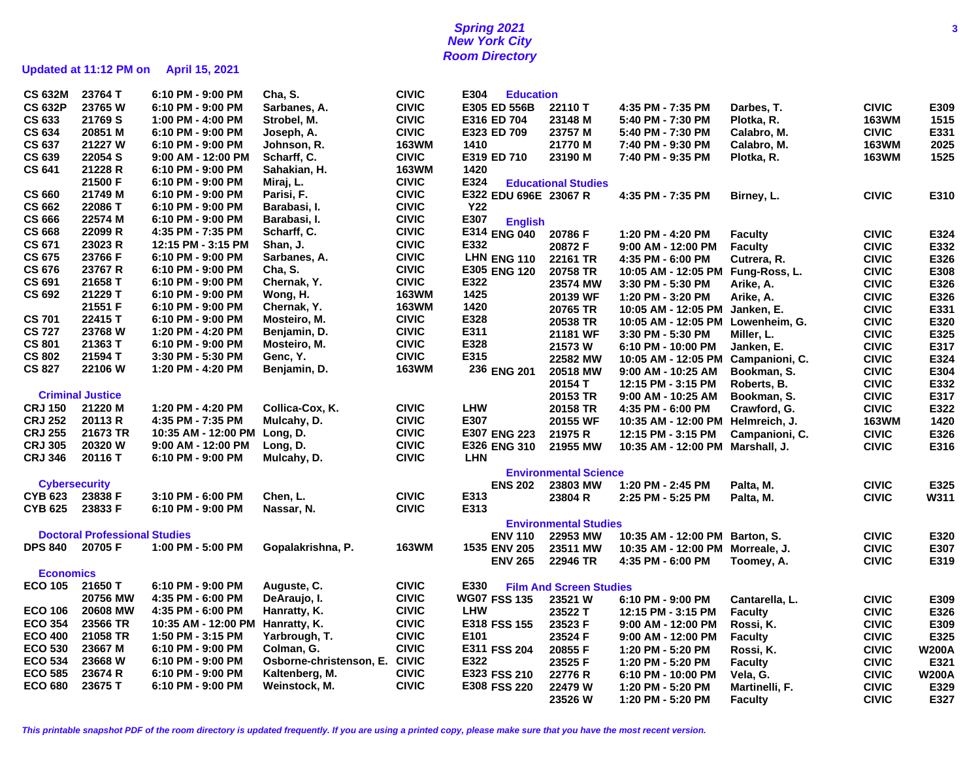## **Spring 2021 3 New York City Room Directory**

# **Updated at 11:12 PM on April 15, 2021**

| <b>CS 632M</b>       | 23764 T                              | 6:10 PM - 9:00 PM                | Cha, S.                 | <b>CIVIC</b> | E304<br><b>Education</b> |                                |                                   |                |              |              |
|----------------------|--------------------------------------|----------------------------------|-------------------------|--------------|--------------------------|--------------------------------|-----------------------------------|----------------|--------------|--------------|
| <b>CS 632P</b>       | 23765 W                              | 6:10 PM - 9:00 PM                | Sarbanes, A.            | <b>CIVIC</b> | E305 ED 556B             | 22110 T                        | 4:35 PM - 7:35 PM                 | Darbes, T.     | <b>CIVIC</b> | E309         |
| <b>CS 633</b>        | 21769 S                              | 1:00 PM - 4:00 PM                | Strobel, M.             | <b>CIVIC</b> | E316 ED 704              | 23148 M                        | 5:40 PM - 7:30 PM                 | Plotka, R.     | <b>163WM</b> | 1515         |
| <b>CS 634</b>        | 20851 M                              | 6:10 PM - 9:00 PM                | Joseph, A.              | <b>CIVIC</b> | E323 ED 709              | 23757 M                        | 5:40 PM - 7:30 PM                 | Calabro, M.    | <b>CIVIC</b> | E331         |
| <b>CS 637</b>        | 21227 W                              | 6:10 PM - 9:00 PM                | Johnson, R.             | <b>163WM</b> | 1410                     | 21770 M                        | 7:40 PM - 9:30 PM                 | Calabro, M.    | <b>163WM</b> | 2025         |
| <b>CS 639</b>        | 22054 S                              | 9:00 AM - 12:00 PM               | Scharff, C.             | <b>CIVIC</b> | E319 ED 710              | 23190 M                        | 7:40 PM - 9:35 PM                 | Plotka, R.     | <b>163WM</b> | 1525         |
| <b>CS 641</b>        | 21228 R                              | 6:10 PM - 9:00 PM                | Sahakian, H.            | <b>163WM</b> | 1420                     |                                |                                   |                |              |              |
|                      |                                      |                                  |                         | <b>CIVIC</b> |                          |                                |                                   |                |              |              |
|                      | 21500 F                              | 6:10 PM - 9:00 PM                | Miraj, L.               |              | E324                     | <b>Educational Studies</b>     |                                   |                |              |              |
| <b>CS 660</b>        | 21749 M                              | 6:10 PM - 9:00 PM                | Parisi, F.              | <b>CIVIC</b> | E322 EDU 696E 23067 R    |                                | 4:35 PM - 7:35 PM                 | Birney, L.     | <b>CIVIC</b> | E310         |
| <b>CS 662</b>        | 22086 T                              | 6:10 PM - 9:00 PM                | Barabasi, I.            | <b>CIVIC</b> | <b>Y22</b>               |                                |                                   |                |              |              |
| <b>CS 666</b>        | 22574 M                              | 6:10 PM - 9:00 PM                | Barabasi, I.            | <b>CIVIC</b> | E307<br><b>English</b>   |                                |                                   |                |              |              |
| <b>CS 668</b>        | 22099 R                              | 4:35 PM - 7:35 PM                | Scharff, C.             | <b>CIVIC</b> | E314 ENG 040             | 20786 F                        | 1:20 PM - 4:20 PM                 | <b>Faculty</b> | <b>CIVIC</b> | E324         |
| <b>CS 671</b>        | 23023 R                              | 12:15 PM - 3:15 PM               | Shan, J.                | <b>CIVIC</b> | E332                     | 20872 F                        | 9:00 AM - 12:00 PM                | <b>Faculty</b> | <b>CIVIC</b> | E332         |
| <b>CS 675</b>        | 23766 F                              | 6:10 PM - 9:00 PM                | Sarbanes, A.            | <b>CIVIC</b> | LHN ENG 110              | 22161 TR                       | 4:35 PM - 6:00 PM                 | Cutrera, R.    | <b>CIVIC</b> | E326         |
| <b>CS 676</b>        | 23767 R                              | 6:10 PM - 9:00 PM                | Cha, S.                 | <b>CIVIC</b> | E305 ENG 120             | 20758 TR                       | 10:05 AM - 12:05 PM Fung-Ross, L. |                | <b>CIVIC</b> | E308         |
| <b>CS 691</b>        | 21658 T                              | 6:10 PM - 9:00 PM                | Chernak, Y.             | <b>CIVIC</b> | E322                     | 23574 MW                       | 3:30 PM - 5:30 PM                 | Arike, A.      | <b>CIVIC</b> | E326         |
| <b>CS 692</b>        | 21229 T                              | 6:10 PM - 9:00 PM                | Wong, H.                | <b>163WM</b> | 1425                     | 20139 WF                       | 1:20 PM - 3:20 PM                 | Arike, A.      | <b>CIVIC</b> | E326         |
|                      | 21551 F                              | 6:10 PM - 9:00 PM                | Chernak, Y.             | <b>163WM</b> | 1420                     | 20765 TR                       | 10:05 AM - 12:05 PM Janken, E.    |                | <b>CIVIC</b> | E331         |
| <b>CS 701</b>        | 22415 T                              | 6:10 PM - 9:00 PM                | Mosteiro, M.            | <b>CIVIC</b> | E328                     | 20538 TR                       | 10:05 AM - 12:05 PM               | Lowenheim, G.  | <b>CIVIC</b> | E320         |
| <b>CS 727</b>        | 23768 W                              | 1:20 PM - 4:20 PM                | Benjamin, D.            | <b>CIVIC</b> | E311                     | 21181 WF                       | 3:30 PM - 5:30 PM                 |                | <b>CIVIC</b> | E325         |
| <b>CS 801</b>        | 21363 T                              | 6:10 PM - 9:00 PM                | Mosteiro, M.            | <b>CIVIC</b> | E328                     |                                |                                   | Miller, L.     |              |              |
| <b>CS 802</b>        | 21594 T                              | 3:30 PM - 5:30 PM                | Genc, Y.                | <b>CIVIC</b> | E315                     | 21573W                         | 6:10 PM - 10:00 PM                | Janken, E.     | <b>CIVIC</b> | E317         |
| <b>CS 827</b>        | 22106 W                              |                                  |                         | <b>163WM</b> |                          | 22582 MW                       | 10:05 AM - 12:05 PM               | Campanioni, C. | <b>CIVIC</b> | E324         |
|                      |                                      | 1:20 PM - 4:20 PM                | Benjamin, D.            |              | 236 ENG 201              | 20518 MW                       | 9:00 AM - 10:25 AM                | Bookman, S.    | <b>CIVIC</b> | E304         |
|                      |                                      |                                  |                         |              |                          | 20154 T                        | 12:15 PM - 3:15 PM                | Roberts, B.    | <b>CIVIC</b> | E332         |
|                      | <b>Criminal Justice</b>              |                                  |                         |              |                          | 20153 TR                       | 9:00 AM - 10:25 AM                | Bookman, S.    | <b>CIVIC</b> | E317         |
| <b>CRJ 150</b>       | 21220 M                              | 1:20 PM - 4:20 PM                | Collica-Cox, K.         | <b>CIVIC</b> | <b>LHW</b>               | 20158 TR                       | 4:35 PM - 6:00 PM                 | Crawford, G.   | <b>CIVIC</b> | E322         |
| <b>CRJ 252</b>       | 20113 R                              | 4:35 PM - 7:35 PM                | Mulcahy, D.             | <b>CIVIC</b> | E307                     | 20155 WF                       | 10:35 AM - 12:00 PM Helmreich, J. |                | <b>163WM</b> | 1420         |
| <b>CRJ 255</b>       | 21673 TR                             | 10:35 AM - 12:00 PM Long, D.     |                         | <b>CIVIC</b> | E307 ENG 223             | 21975 R                        | 12:15 PM - 3:15 PM                | Campanioni, C. | <b>CIVIC</b> | E326         |
| <b>CRJ 305</b>       | 20320 W                              | $9:00$ AM - 12:00 PM             | Long, D.                | <b>CIVIC</b> | E326 ENG 310             | 21955 MW                       | 10:35 AM - 12:00 PM Marshall, J.  |                | <b>CIVIC</b> | E316         |
| <b>CRJ 346</b>       | 20116 T                              | 6:10 PM - 9:00 PM                | Mulcahy, D.             | <b>CIVIC</b> | <b>LHN</b>               |                                |                                   |                |              |              |
|                      |                                      |                                  |                         |              |                          | <b>Environmental Science</b>   |                                   |                |              |              |
| <b>Cybersecurity</b> |                                      |                                  |                         |              | <b>ENS 202</b>           | 23803 MW                       | 1:20 PM - 2:45 PM                 | Palta, M.      | <b>CIVIC</b> | E325         |
| <b>CYB 623</b>       | 23838 F                              | 3:10 PM - 6:00 PM                | Chen, L.                | <b>CIVIC</b> | E313                     | 23804 R                        | 2:25 PM - 5:25 PM                 | Palta, M.      | <b>CIVIC</b> | W311         |
| <b>CYB 625</b>       | 23833 F                              | 6:10 PM - 9:00 PM                | Nassar, N.              | <b>CIVIC</b> | E313                     |                                |                                   |                |              |              |
|                      |                                      |                                  |                         |              |                          |                                |                                   |                |              |              |
|                      |                                      |                                  |                         |              |                          | <b>Environmental Studies</b>   |                                   |                |              |              |
|                      | <b>Doctoral Professional Studies</b> |                                  |                         |              | <b>ENV 110</b>           | 22953 MW                       | 10:35 AM - 12:00 PM Barton, S.    |                | <b>CIVIC</b> | E320         |
| <b>DPS 840</b>       | 20705 F                              | 1:00 PM - 5:00 PM                | Gopalakrishna, P.       | <b>163WM</b> | 1535 ENV 205             | 23511 MW                       | 10:35 AM - 12:00 PM Morreale, J.  |                | <b>CIVIC</b> | E307         |
|                      |                                      |                                  |                         |              | <b>ENV 265</b>           | 22946 TR                       | 4:35 PM - 6:00 PM                 | Toomey, A.     | <b>CIVIC</b> | E319         |
| <b>Economics</b>     |                                      |                                  |                         |              |                          |                                |                                   |                |              |              |
| <b>ECO 105</b>       | 21650 T                              | 6:10 PM - 9:00 PM                | Auguste, C.             | <b>CIVIC</b> | E330                     | <b>Film And Screen Studies</b> |                                   |                |              |              |
|                      | 20756 MW                             | 4:35 PM - 6:00 PM                | DeAraujo, I.            | <b>CIVIC</b> | <b>WG07 FSS 135</b>      | 23521 W                        | 6:10 PM - 9:00 PM                 | Cantarella, L. | <b>CIVIC</b> | E309         |
| <b>ECO 106</b>       | 20608 MW                             | 4:35 PM - 6:00 PM                | Hanratty, K.            | <b>CIVIC</b> | <b>LHW</b>               | 23522 T                        | 12:15 PM - 3:15 PM                | <b>Faculty</b> | <b>CIVIC</b> | E326         |
| <b>ECO 354</b>       | 23566 TR                             | 10:35 AM - 12:00 PM Hanratty, K. |                         | <b>CIVIC</b> | E318 FSS 155             | 23523 F                        | 9:00 AM - 12:00 PM                | Rossi, K.      | <b>CIVIC</b> | E309         |
| <b>ECO 400</b>       | 21058 TR                             | 1:50 PM - 3:15 PM                | Yarbrough, T.           | <b>CIVIC</b> | E101                     | 23524 F                        | $9:00$ AM - 12:00 PM              | <b>Faculty</b> | <b>CIVIC</b> | E325         |
| <b>ECO 530</b>       | 23667 M                              | 6:10 PM - 9:00 PM                | Colman, G.              | <b>CIVIC</b> | E311 FSS 204             | 20855 F                        | 1:20 PM - 5:20 PM                 | Rossi, K.      | <b>CIVIC</b> | <b>W200A</b> |
| <b>ECO 534</b>       | 23668 W                              | 6:10 PM - 9:00 PM                | Osborne-christenson, E. | <b>CIVIC</b> | E322                     | 23525 F                        | 1:20 PM - 5:20 PM                 | <b>Faculty</b> | <b>CIVIC</b> | E321         |
| <b>ECO 585</b>       | 23674 R                              | 6:10 PM - 9:00 PM                | Kaltenberg, M.          | <b>CIVIC</b> | E323 FSS 210             | 22776 R                        |                                   |                | <b>CIVIC</b> | <b>W200A</b> |
| <b>ECO 680</b>       | 23675 T                              | 6:10 PM - 9:00 PM                | Weinstock, M.           | <b>CIVIC</b> | E308 FSS 220             |                                | 6:10 PM - 10:00 PM                | Vela, G.       |              | E329         |
|                      |                                      |                                  |                         |              |                          | 22479 W                        | 1:20 PM - 5:20 PM                 | Martinelli, F. | <b>CIVIC</b> |              |
|                      |                                      |                                  |                         |              |                          | 23526 W                        | 1:20 PM - 5:20 PM                 | <b>Faculty</b> | <b>CIVIC</b> | E327         |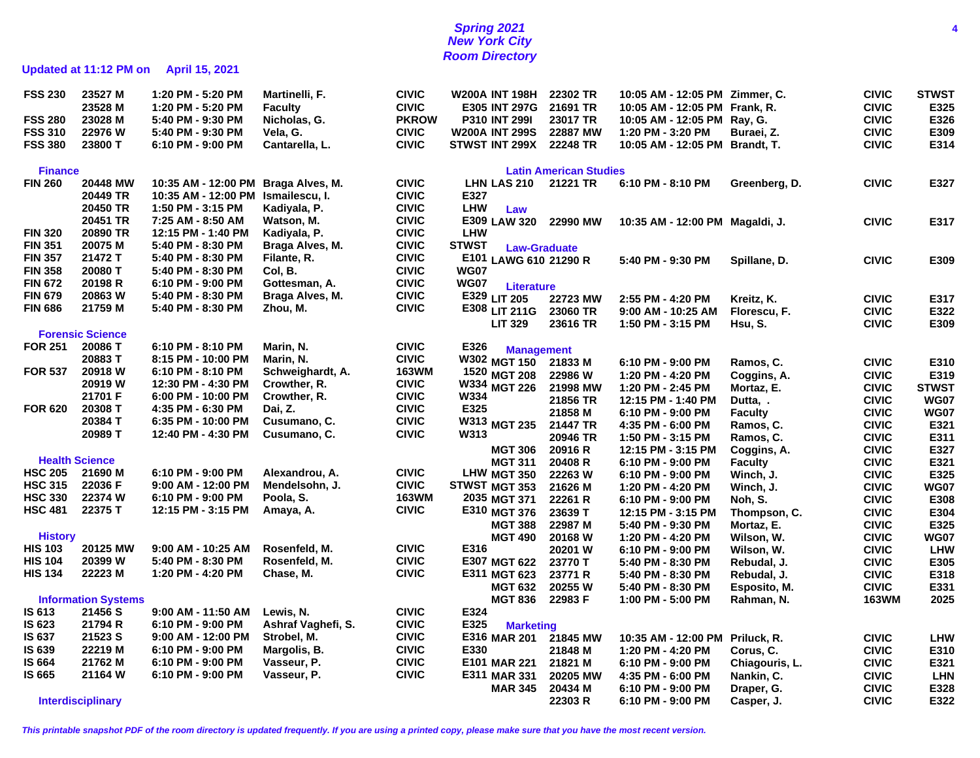## **Spring 2021 4 New York City Room Directory**

# **Updated at 11:12 PM on April 15, 2021**

| <b>FSS 230</b> | 23527 M                    | 1:20 PM - 5:20 PM                       | Martinelli, F.                  | <b>CIVIC</b> | <b>W200A INT 198H</b>                | 22302 TR                      | 10:05 AM - 12:05 PM Zimmer, C.          |                            | <b>CIVIC</b>                 | <b>STWST</b> |
|----------------|----------------------------|-----------------------------------------|---------------------------------|--------------|--------------------------------------|-------------------------------|-----------------------------------------|----------------------------|------------------------------|--------------|
|                | 23528 M                    | 1:20 PM - 5:20 PM                       | <b>Faculty</b>                  | <b>CIVIC</b> | E305 INT 297G                        | 21691 TR                      | 10:05 AM - 12:05 PM Frank, R.           |                            | <b>CIVIC</b>                 | E325         |
| <b>FSS 280</b> | 23028 M                    | 5:40 PM - 9:30 PM                       | Nicholas, G.                    | <b>PKROW</b> | <b>P310 INT 299I</b>                 | 23017 TR                      | 10:05 AM - 12:05 PM Ray, G.             |                            | <b>CIVIC</b>                 | E326         |
| <b>FSS 310</b> | 22976 W                    | 5:40 PM - 9:30 PM                       | Vela, G.                        | <b>CIVIC</b> | <b>W200A INT 299S</b>                | 22887 MW                      | 1:20 PM - 3:20 PM                       | Buraei, Z.                 | <b>CIVIC</b>                 | E309         |
| <b>FSS 380</b> | 23800 T                    | 6:10 PM - 9:00 PM                       | Cantarella, L.                  | <b>CIVIC</b> | STWST INT 299X                       | 22248 TR                      | 10:05 AM - 12:05 PM Brandt, T.          |                            | <b>CIVIC</b>                 | E314         |
| <b>Finance</b> |                            |                                         |                                 |              |                                      | <b>Latin American Studies</b> |                                         |                            |                              |              |
| <b>FIN 260</b> | 20448 MW                   | 10:35 AM - 12:00 PM                     | Braga Alves, M.                 | <b>CIVIC</b> | LHN LAS 210                          | 21221 TR                      | 6:10 PM - 8:10 PM                       | Greenberg, D.              | <b>CIVIC</b>                 | E327         |
|                | 20449 TR                   | 10:35 AM - 12:00 PM                     | Ismailescu, I.                  | <b>CIVIC</b> | E327                                 |                               |                                         |                            |                              |              |
|                | 20450 TR                   | 1:50 PM - 3:15 PM                       | Kadiyala, P.                    | <b>CIVIC</b> | <b>LHW</b><br>Law                    |                               |                                         |                            |                              |              |
|                | 20451 TR                   | 7:25 AM - 8:50 AM                       | Watson, M.                      | <b>CIVIC</b> | E309 LAW 320                         | 22990 MW                      | 10:35 AM - 12:00 PM Magaldi, J.         |                            | <b>CIVIC</b>                 | E317         |
| <b>FIN 320</b> | 20890 TR                   | 12:15 PM - 1:40 PM                      | Kadiyala, P.                    | <b>CIVIC</b> | <b>LHW</b>                           |                               |                                         |                            |                              |              |
| <b>FIN 351</b> | 20075 M                    | 5:40 PM - 8:30 PM                       | Braga Alves, M.                 | <b>CIVIC</b> | <b>STWST</b>                         |                               |                                         |                            |                              |              |
| <b>FIN 357</b> | 21472 T                    | 5:40 PM - 8:30 PM                       | Filante, R.                     | <b>CIVIC</b> | <b>Law-Graduate</b>                  |                               |                                         |                            |                              |              |
| <b>FIN 358</b> | 20080 T                    | 5:40 PM - 8:30 PM                       | Col, B.                         | <b>CIVIC</b> | E101 LAWG 610 21290 R<br><b>WG07</b> |                               | 5:40 PM - 9:30 PM                       | Spillane, D.               | <b>CIVIC</b>                 | E309         |
| <b>FIN 672</b> | 20198 R                    | 6:10 PM - 9:00 PM                       | Gottesman, A.                   | <b>CIVIC</b> | <b>WG07</b>                          |                               |                                         |                            |                              |              |
| <b>FIN 679</b> | 20863 W                    | 5:40 PM - 8:30 PM                       | Braga Alves, M.                 | <b>CIVIC</b> | <b>Literature</b><br>E329 LIT 205    |                               |                                         |                            |                              |              |
| <b>FIN 686</b> | 21759 M                    | 5:40 PM - 8:30 PM                       | Zhou, M.                        | <b>CIVIC</b> |                                      | 22723 MW                      | 2:55 PM - 4:20 PM                       | Kreitz, K.                 | <b>CIVIC</b>                 | E317         |
|                |                            |                                         |                                 |              | E308 LIT 211G                        | 23060 TR                      | 9:00 AM - 10:25 AM                      | Florescu, F.               | <b>CIVIC</b>                 | E322         |
|                | <b>Forensic Science</b>    |                                         |                                 |              | <b>LIT 329</b>                       | 23616 TR                      | 1:50 PM - 3:15 PM                       | Hsu, S.                    | <b>CIVIC</b>                 | E309         |
| <b>FOR 251</b> | 20086 T                    | 6:10 PM - 8:10 PM                       | Marin, N.                       | <b>CIVIC</b> | E326                                 |                               |                                         |                            |                              |              |
|                | 20883 T                    | 8:15 PM - 10:00 PM                      | Marin, N.                       | <b>CIVIC</b> | <b>Management</b><br>W302 MGT 150    | 21833 M                       | 6:10 PM - 9:00 PM                       |                            | <b>CIVIC</b>                 | E310         |
| <b>FOR 537</b> | 20918 W                    | 6:10 PM - 8:10 PM                       | Schweighardt, A.                | <b>163WM</b> | 1520 MGT 208                         | 22986 W                       |                                         | Ramos, C.                  | <b>CIVIC</b>                 | E319         |
|                | 20919 W                    | 12:30 PM - 4:30 PM                      | Crowther, R.                    | <b>CIVIC</b> | W334 MGT 226                         |                               | 1:20 PM - 4:20 PM                       | Coggins, A.                |                              | <b>STWST</b> |
|                | 21701 F                    | 6:00 PM - 10:00 PM                      | Crowther, R.                    | <b>CIVIC</b> | W334                                 | 21998 MW<br>21856 TR          | 1:20 PM - 2:45 PM                       | Mortaz, E.                 | <b>CIVIC</b><br><b>CIVIC</b> | <b>WG07</b>  |
| <b>FOR 620</b> | 20308 T                    | 4:35 PM - 6:30 PM                       | Dai, Z.                         | <b>CIVIC</b> | E325                                 | 21858 M                       | 12:15 PM - 1:40 PM                      | Dutta, .                   |                              | <b>WG07</b>  |
|                | 20384 T                    | 6:35 PM - 10:00 PM                      | Cusumano, C.                    | <b>CIVIC</b> | W313<br><b>MGT 235</b>               | 21447 TR                      | 6:10 PM - 9:00 PM                       | <b>Faculty</b>             | <b>CIVIC</b><br><b>CIVIC</b> | E321         |
|                | 20989 T                    | 12:40 PM - 4:30 PM                      | Cusumano, C.                    | <b>CIVIC</b> | W313                                 | 20946 TR                      | 4:35 PM - 6:00 PM                       | Ramos, C.                  |                              | E311         |
|                |                            |                                         |                                 |              |                                      | 20916 R                       | 1:50 PM - 3:15 PM                       | Ramos, C.                  | <b>CIVIC</b>                 | E327         |
|                | <b>Health Science</b>      |                                         |                                 |              | <b>MGT 306</b><br><b>MGT 311</b>     | 20408 R                       | 12:15 PM - 3:15 PM                      | Coggins, A.                | <b>CIVIC</b>                 | E321         |
| <b>HSC 205</b> | 21690 M                    | 6:10 PM - 9:00 PM                       | Alexandrou, A.                  | <b>CIVIC</b> | LHW MGT 350                          | 22263 W                       | 6:10 PM - 9:00 PM                       | <b>Faculty</b>             | <b>CIVIC</b>                 | E325         |
| <b>HSC 315</b> | 22036 F                    | 9:00 AM - 12:00 PM                      | Mendelsohn, J.                  | <b>CIVIC</b> | STWST<br><b>MGT 353</b>              |                               | 6:10 PM - 9:00 PM                       | Winch, J.                  | <b>CIVIC</b>                 | <b>WG07</b>  |
| <b>HSC 330</b> | 22374 W                    | 6:10 PM - 9:00 PM                       | Poola, S.                       | <b>163WM</b> | 2035 MGT 371                         | 21626 M<br>22261 R            | 1:20 PM - 4:20 PM                       | Winch, J.                  | <b>CIVIC</b><br><b>CIVIC</b> | E308         |
| <b>HSC 481</b> | 22375 T                    | 12:15 PM - 3:15 PM                      | Amaya, A.                       | <b>CIVIC</b> | E310 MGT 376                         | 23639 T                       | 6:10 PM - 9:00 PM<br>12:15 PM - 3:15 PM | Noh, S.                    | <b>CIVIC</b>                 | E304         |
|                |                            |                                         |                                 |              | <b>MGT 388</b>                       | 22987 M                       | 5:40 PM - 9:30 PM                       | Thompson, C.<br>Mortaz, E. | <b>CIVIC</b>                 | E325         |
| <b>History</b> |                            |                                         |                                 |              | <b>MGT 490</b>                       | 20168 W                       | 1:20 PM - 4:20 PM                       |                            | <b>CIVIC</b>                 | <b>WG07</b>  |
| <b>HIS 103</b> | 20125 MW                   | 9:00 AM - 10:25 AM                      | Rosenfeld, M.                   | <b>CIVIC</b> | E316                                 | 20201 W                       | 6:10 PM - 9:00 PM                       | Wilson, W.                 | <b>CIVIC</b>                 | <b>LHW</b>   |
| <b>HIS 104</b> | 20399 W                    | 5:40 PM - 8:30 PM                       | Rosenfeld, M.                   | <b>CIVIC</b> | E307 MGT 622                         |                               |                                         | Wilson, W.                 |                              | E305         |
| <b>HIS 134</b> | 22223 M                    | 1:20 PM - 4:20 PM                       | Chase, M.                       | <b>CIVIC</b> | E311 MGT 623                         | 23770 T                       | 5:40 PM - 8:30 PM                       | Rebudal, J.                | <b>CIVIC</b>                 |              |
|                |                            |                                         |                                 |              |                                      | 23771 R                       | 5:40 PM - 8:30 PM                       | Rebudal, J.                | <b>CIVIC</b>                 | E318<br>E331 |
|                | <b>Information Systems</b> |                                         |                                 |              | <b>MGT 632</b><br><b>MGT 836</b>     | 20255 W<br>22983 F            | 5:40 PM - 8:30 PM<br>1:00 PM - 5:00 PM  | Esposito, M.               | <b>CIVIC</b><br>163WM        | 2025         |
| IS 613         | 21456 S                    | 9:00 AM - 11:50 AM                      |                                 | <b>CIVIC</b> | E324                                 |                               |                                         | Rahman, N.                 |                              |              |
| IS 623         | 21794 R                    | 6:10 PM - 9:00 PM                       | Lewis, N.<br>Ashraf Vaghefi, S. | <b>CIVIC</b> | E325                                 |                               |                                         |                            |                              |              |
| IS 637         | 21523 S                    |                                         |                                 | <b>CIVIC</b> | <b>Marketing</b>                     |                               |                                         |                            |                              |              |
| IS 639         | 22219 M                    | 9:00 AM - 12:00 PM<br>6:10 PM - 9:00 PM | Strobel, M.<br>Margolis, B.     | <b>CIVIC</b> | E316 MAR 201<br>E330                 | 21845 MW                      | 10:35 AM - 12:00 PM                     | Priluck, R.                | <b>CIVIC</b>                 | <b>LHW</b>   |
| <b>IS 664</b>  | 21762 M                    | 6:10 PM - 9:00 PM                       |                                 | <b>CIVIC</b> |                                      | 21848 M                       | 1:20 PM - 4:20 PM                       | Corus, C.                  | <b>CIVIC</b>                 | E310         |
| IS 665         | 21164 W                    | 6:10 PM - 9:00 PM                       | Vasseur, P.                     | <b>CIVIC</b> | E101 MAR 221                         | 21821 M                       | 6:10 PM - 9:00 PM                       | Chiagouris, L.             | <b>CIVIC</b>                 | E321         |
|                |                            |                                         | Vasseur, P.                     |              | E311 MAR 331                         | 20205 MW                      | 4:35 PM - 6:00 PM                       | Nankin, C.                 | <b>CIVIC</b>                 | <b>LHN</b>   |
|                |                            |                                         |                                 |              | <b>MAR 345</b>                       | 20434 M                       | 6:10 PM - 9:00 PM                       | Draper, G.                 | <b>CIVIC</b>                 | E328         |
|                | <b>Interdisciplinary</b>   |                                         |                                 |              |                                      | 22303 R                       | 6:10 PM - 9:00 PM                       | Casper, J.                 | <b>CIVIC</b>                 | E322         |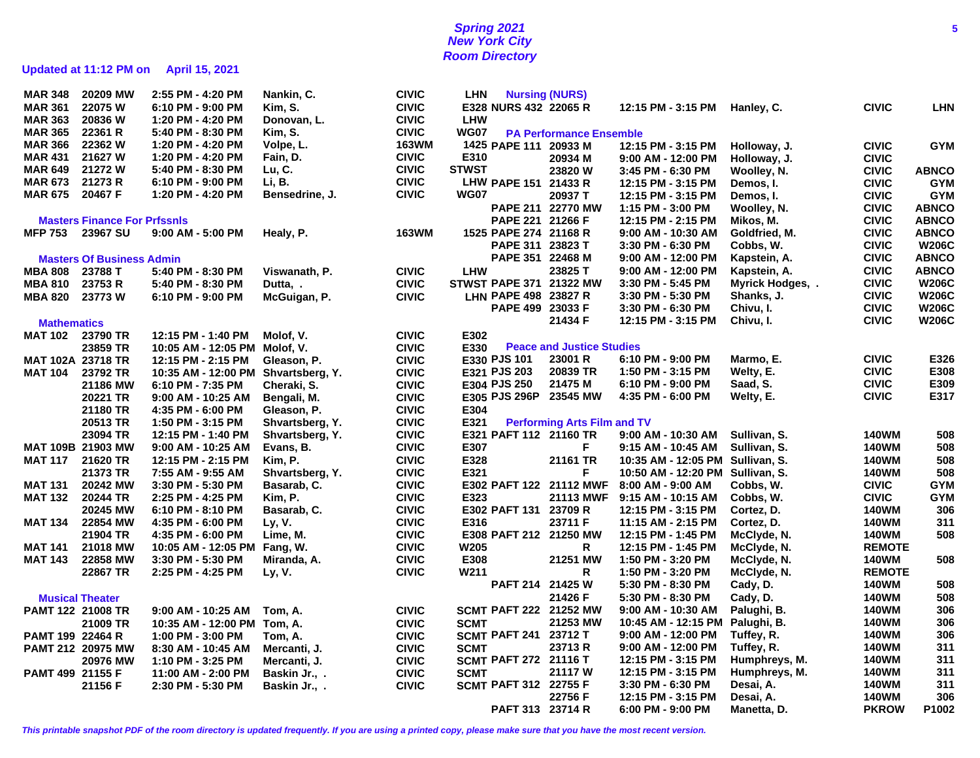# **Spring 2021 5 New York City Room Directory**

# **Updated at 11:12 PM on April 15, 2021**

| <b>MAR 348</b>           | 20209 MW                            | 2:55 PM - 4:20 PM                   | Nankin, C.      | <b>CIVIC</b> | <b>LHN</b>                           | <b>Nursing (NURS)</b>              |                                         |                          |                              |              |
|--------------------------|-------------------------------------|-------------------------------------|-----------------|--------------|--------------------------------------|------------------------------------|-----------------------------------------|--------------------------|------------------------------|--------------|
| <b>MAR 361</b>           | 22075 W                             | 6:10 PM - 9:00 PM                   | Kim, S.         | <b>CIVIC</b> | E328 NURS 432 22065 R                |                                    | 12:15 PM - 3:15 PM                      | Hanley, C.               | <b>CIVIC</b>                 | <b>LHN</b>   |
| <b>MAR 363</b>           | 20836 W                             | 1:20 PM - 4:20 PM                   | Donovan, L.     | <b>CIVIC</b> | <b>LHW</b>                           |                                    |                                         |                          |                              |              |
| <b>MAR 365</b>           | 22361 R                             | 5:40 PM - 8:30 PM                   | Kim, S.         | <b>CIVIC</b> | WG07                                 | <b>PA Performance Ensemble</b>     |                                         |                          |                              |              |
| <b>MAR 366</b>           | 22362 W                             | 1:20 PM - 4:20 PM                   | Volpe, L.       | <b>163WM</b> | 1425 PAPE 111 20933 M                |                                    | 12:15 PM - 3:15 PM                      | Holloway, J.             | <b>CIVIC</b>                 | <b>GYM</b>   |
| <b>MAR 431</b>           | 21627 W                             | 1:20 PM - 4:20 PM                   | Fain, D.        | <b>CIVIC</b> | E310                                 | 20934 M                            | 9:00 AM - 12:00 PM                      | Holloway, J.             | <b>CIVIC</b>                 |              |
| <b>MAR 649</b>           | 21272 W                             | 5:40 PM - 8:30 PM                   | Lu, C.          | <b>CIVIC</b> | <b>STWST</b>                         | 23820 W                            | 3:45 PM - 6:30 PM                       | Woolley, N.              | <b>CIVIC</b>                 | <b>ABNCO</b> |
| <b>MAR 673</b>           | 21273 R                             | 6:10 PM - 9:00 PM                   | Li, B.          | <b>CIVIC</b> | LHW PAPE 151 21433 R                 |                                    | 12:15 PM - 3:15 PM                      | Demos, I.                | <b>CIVIC</b>                 | <b>GYM</b>   |
| <b>MAR 675</b>           | 20467 F                             | 1:20 PM - 4:20 PM                   | Bensedrine, J.  | <b>CIVIC</b> | <b>WG07</b>                          | 20937 T                            | 12:15 PM - 3:15 PM                      | Demos, I.                | <b>CIVIC</b>                 | <b>GYM</b>   |
|                          |                                     |                                     |                 |              |                                      | PAPE 211 22770 MW                  | 1:15 PM - 3:00 PM                       | Woolley, N.              | <b>CIVIC</b>                 | <b>ABNCO</b> |
|                          | <b>Masters Finance For Prfssnls</b> |                                     |                 |              | PAPE 221 21266 F                     |                                    | 12:15 PM - 2:15 PM                      | Mikos, M.                | <b>CIVIC</b>                 | <b>ABNCO</b> |
| <b>MFP 753</b>           | 23967 SU                            | 9:00 AM - 5:00 PM                   |                 | <b>163WM</b> | 1525 PAPE 274 21168 R                |                                    | $9:00$ AM - 10:30 AM                    | Goldfried, M.            | <b>CIVIC</b>                 | <b>ABNCO</b> |
|                          |                                     |                                     | Healy, P.       |              |                                      |                                    |                                         |                          |                              | <b>W206C</b> |
|                          |                                     |                                     |                 |              | PAPE 311 23823 T<br>PAPE 351 22468 M |                                    | 3:30 PM - 6:30 PM                       | Cobbs, W.                | <b>CIVIC</b><br><b>CIVIC</b> | <b>ABNCO</b> |
|                          | <b>Masters Of Business Admin</b>    |                                     |                 |              |                                      |                                    | 9:00 AM - 12:00 PM                      | Kapstein, A.             |                              | <b>ABNCO</b> |
| <b>MBA 808</b>           | 23788 T                             | 5:40 PM - 8:30 PM                   | Viswanath, P.   | <b>CIVIC</b> | <b>LHW</b>                           | 23825 T                            | 9:00 AM - 12:00 PM                      | Kapstein, A.             | <b>CIVIC</b>                 |              |
| <b>MBA 810</b>           | 23753 R                             | 5:40 PM - 8:30 PM                   | Dutta, .        | <b>CIVIC</b> | STWST PAPE 371 21322 MW              |                                    | 3:30 PM - 5:45 PM                       | Myrick Hodges, .         | <b>CIVIC</b>                 | <b>W206C</b> |
| <b>MBA 820</b>           | 23773 W                             | 6:10 PM - 9:00 PM                   | McGuigan, P.    | <b>CIVIC</b> | LHN PAPE 498 23827 R                 |                                    | 3:30 PM - 5:30 PM                       | Shanks, J.               | <b>CIVIC</b>                 | <b>W206C</b> |
|                          |                                     |                                     |                 |              | PAPE 499 23033 F                     |                                    | 3:30 PM - 6:30 PM                       | Chivu, I.                | <b>CIVIC</b>                 | <b>W206C</b> |
| <b>Mathematics</b>       |                                     |                                     |                 |              |                                      | 21434 F                            | 12:15 PM - 3:15 PM                      | Chivu, I.                | <b>CIVIC</b>                 | <b>W206C</b> |
| <b>MAT 102</b>           | 23790 TR                            | 12:15 PM - 1:40 PM                  | Molof, V.       | <b>CIVIC</b> | E302                                 |                                    |                                         |                          |                              |              |
|                          | 23859 TR                            | 10:05 AM - 12:05 PM Molof, V.       |                 | <b>CIVIC</b> | E330                                 | <b>Peace and Justice Studies</b>   |                                         |                          |                              |              |
| MAT 102A 23718 TR        |                                     | 12:15 PM - 2:15 PM                  | Gleason, P.     | <b>CIVIC</b> | E330 PJS 101                         | 23001 R                            | 6:10 PM - 9:00 PM                       | Marmo, E.                | <b>CIVIC</b>                 | E326         |
| <b>MAT 104</b>           | 23792 TR                            | 10:35 AM - 12:00 PM Shvartsberg, Y. |                 | <b>CIVIC</b> | E321 PJS 203                         | 20839 TR                           | 1:50 PM - 3:15 PM                       | Welty, E.                | <b>CIVIC</b>                 | E308         |
|                          | 21186 MW                            | 6:10 PM - 7:35 PM                   | Cheraki, S.     | <b>CIVIC</b> | E304 PJS 250                         | 21475 M                            | 6:10 PM - 9:00 PM                       | Saad, S.                 | <b>CIVIC</b>                 | E309         |
|                          | 20221 TR                            | 9:00 AM - 10:25 AM                  | Bengali, M.     | <b>CIVIC</b> | E305 PJS 296P                        | 23545 MW                           | 4:35 PM - 6:00 PM                       | Welty, E.                | <b>CIVIC</b>                 | E317         |
|                          | 21180 TR                            | 4:35 PM - 6:00 PM                   | Gleason, P.     | <b>CIVIC</b> | E304                                 |                                    |                                         |                          |                              |              |
|                          | 20513 TR                            | 1:50 PM - 3:15 PM                   | Shvartsberg, Y. | <b>CIVIC</b> | E321                                 | <b>Performing Arts Film and TV</b> |                                         |                          |                              |              |
|                          | 23094 TR                            | 12:15 PM - 1:40 PM                  | Shvartsberg, Y. | <b>CIVIC</b> | E321 PAFT 112 21160 TR               |                                    | 9:00 AM - 10:30 AM                      | Sullivan, S.             | <b>140WM</b>                 | 508          |
|                          | MAT 109B 21903 MW                   | 9:00 AM - 10:25 AM                  | Evans, B.       | <b>CIVIC</b> | E307                                 | F.                                 | 9:15 AM - 10:45 AM                      | Sullivan, S.             | <b>140WM</b>                 | 508          |
| <b>MAT 117</b>           | 21620 TR                            | 12:15 PM - 2:15 PM                  | Kim, P.         | <b>CIVIC</b> | E328                                 | 21161 TR                           | 10:35 AM - 12:05 PM                     | Sullivan, S.             | <b>140WM</b>                 | 508          |
|                          | 21373 TR                            | 7:55 AM - 9:55 AM                   | Shvartsberg, Y. | <b>CIVIC</b> | E321                                 | F.                                 | 10:50 AM - 12:20 PM Sullivan, S.        |                          | <b>140WM</b>                 | 508          |
| <b>MAT 131</b>           | 20242 MW                            | 3:30 PM - 5:30 PM                   | Basarab, C.     | <b>CIVIC</b> | E302 PAFT 122 21112 MWF              |                                    | 8:00 AM - 9:00 AM                       | Cobbs, W.                | <b>CIVIC</b>                 | <b>GYM</b>   |
| <b>MAT 132</b>           | 20244 TR                            | 2:25 PM - 4:25 PM                   | Kim, P.         | <b>CIVIC</b> | E323                                 | 21113 MWF                          | 9:15 AM - 10:15 AM                      | Cobbs, W.                | <b>CIVIC</b>                 | <b>GYM</b>   |
|                          | 20245 MW                            | 6:10 PM - 8:10 PM                   | Basarab, C.     | <b>CIVIC</b> | E302 PAFT 131 23709 R                |                                    | 12:15 PM - 3:15 PM                      | Cortez, D.               | <b>140WM</b>                 | 306          |
| <b>MAT 134</b>           | 22854 MW                            | 4:35 PM - 6:00 PM                   | Ly, V.          | <b>CIVIC</b> | E316                                 | 23711 F                            | 11:15 AM - 2:15 PM                      | Cortez, D.               | <b>140WM</b>                 | 311          |
|                          | 21904 TR                            | 4:35 PM - 6:00 PM                   | Lime, M.        | <b>CIVIC</b> | E308 PAFT 212 21250 MW               |                                    |                                         | McClyde, N.              | <b>140WM</b>                 | 508          |
| <b>MAT 141</b>           |                                     |                                     |                 |              |                                      |                                    |                                         |                          |                              |              |
| <b>MAT 143</b>           |                                     |                                     |                 |              |                                      |                                    | 12:15 PM - 1:45 PM                      |                          |                              |              |
|                          | 21018 MW                            | 10:05 AM - 12:05 PM Fang, W.        |                 | <b>CIVIC</b> | <b>W205</b>                          | R                                  | 12:15 PM - 1:45 PM                      | McClyde, N.              | <b>REMOTE</b>                |              |
|                          | 22858 MW                            | 3:30 PM - 5:30 PM                   | Miranda, A.     | <b>CIVIC</b> | E308                                 | 21251 MW                           | 1:50 PM - 3:20 PM                       | McClyde, N.              | 140WM                        | 508          |
|                          | 22867 TR                            | 2:25 PM - 4:25 PM                   | Ly, V.          | <b>CIVIC</b> | W211                                 | R                                  | 1:50 PM - 3:20 PM                       | McClyde, N.              | <b>REMOTE</b>                |              |
|                          |                                     |                                     |                 |              | PAFT 214 21425 W                     |                                    | 5:30 PM - 8:30 PM                       | Cady, D.                 | <b>140WM</b>                 | 508          |
|                          | <b>Musical Theater</b>              |                                     |                 |              |                                      | 21426 F                            | 5:30 PM - 8:30 PM                       | Cady, D.                 | <b>140WM</b>                 | 508          |
| <b>PAMT 122 21008 TR</b> |                                     | 9:00 AM - 10:25 AM                  | Tom, A.         | <b>CIVIC</b> | <b>SCMT PAFT 222 21252 MW</b>        |                                    | 9:00 AM - 10:30 AM                      | Palughi, B.              | <b>140WM</b>                 | 306          |
|                          | 21009 TR                            | 10:35 AM - 12:00 PM Tom, A.         |                 | <b>CIVIC</b> | <b>SCMT</b>                          | 21253 MW                           | 10:45 AM - 12:15 PM                     | Palughi, B.              | <b>140WM</b>                 | 306          |
| PAMT 199 22464 R         |                                     | 1:00 PM - 3:00 PM                   | Tom, A.         | <b>CIVIC</b> | SCMT PAFT 241 23712 T                |                                    | 9:00 AM - 12:00 PM                      | Tuffey, R.               | <b>140WM</b>                 | 306          |
|                          | PAMT 212 20975 MW                   | 8:30 AM - 10:45 AM                  | Mercanti, J.    | <b>CIVIC</b> | <b>SCMT</b>                          | 23713 R                            | $9:00$ AM - 12:00 PM                    | Tuffey, R.               | <b>140WM</b>                 | 311          |
|                          | 20976 MW                            | 1:10 PM - 3:25 PM                   | Mercanti, J.    | <b>CIVIC</b> | SCMT PAFT 272 21116 T                |                                    | 12:15 PM - 3:15 PM                      | Humphreys, M.            | <b>140WM</b>                 | 311          |
| PAMT 499 21155 F         |                                     | 11:00 AM - 2:00 PM                  | Baskin Jr., .   | <b>CIVIC</b> | <b>SCMT</b>                          | 21117 W                            | 12:15 PM - 3:15 PM                      | Humphreys, M.            | <b>140WM</b>                 | 311          |
|                          | 21156 F                             | 2:30 PM - 5:30 PM                   | Baskin Jr., .   | <b>CIVIC</b> | SCMT PAFT 312 22755 F                |                                    | 3:30 PM - 6:30 PM                       | Desai, A.                | <b>140WM</b>                 | 311          |
|                          |                                     |                                     |                 |              | PAFT 313 23714 R                     | 22756 F                            | 12:15 PM - 3:15 PM<br>6:00 PM - 9:00 PM | Desai, A.<br>Manetta, D. | <b>140WM</b><br><b>PKROW</b> | 306<br>P1002 |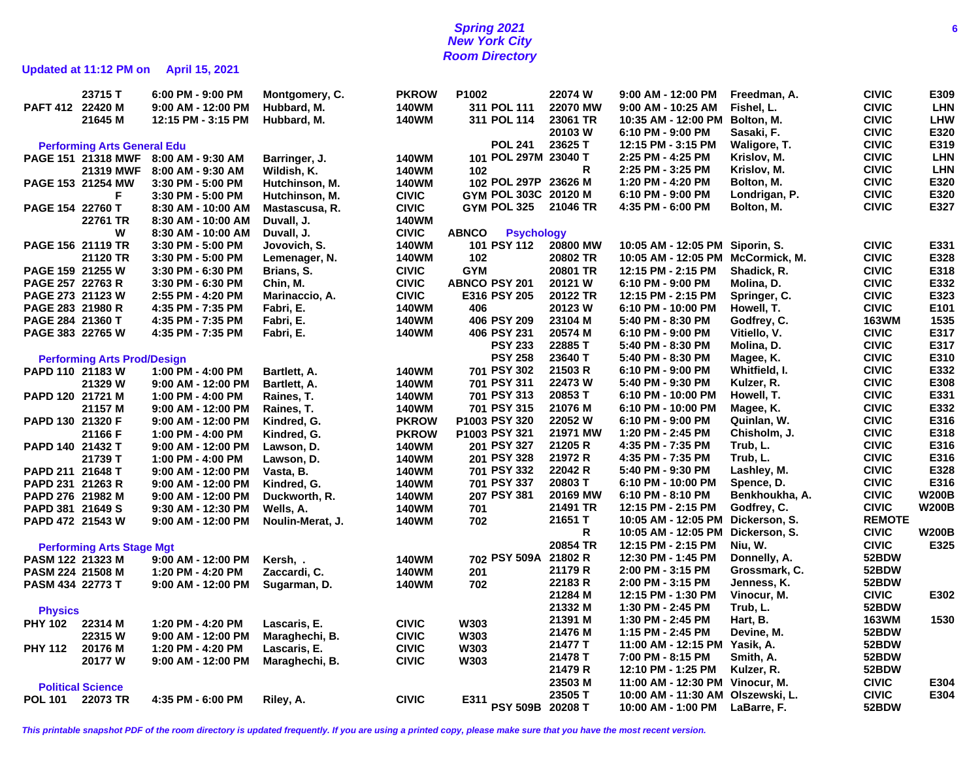## **Spring 2021 6 New York City Room Directory**

# **Updated at 11:12 PM on April 15, 2021**

|                   | 23715 T                            | 6:00 PM - 9:00 PM    | Montgomery, C.   | <b>PKROW</b> | P1002                             | 22074 W         | 9:00 AM - 12:00 PM                | Freedman, A.   | <b>CIVIC</b>  | E309         |
|-------------------|------------------------------------|----------------------|------------------|--------------|-----------------------------------|-----------------|-----------------------------------|----------------|---------------|--------------|
| PAFT 412 22420 M  |                                    | 9:00 AM - 12:00 PM   | Hubbard, M.      | <b>140WM</b> | 311 POL 111                       | 22070 MW        | 9:00 AM - 10:25 AM                | Fishel, L.     | <b>CIVIC</b>  | <b>LHN</b>   |
|                   | 21645 M                            | 12:15 PM - 3:15 PM   | Hubbard, M.      | <b>140WM</b> | 311 POL 114                       | 23061 TR        | 10:35 AM - 12:00 PM               | Bolton, M.     | <b>CIVIC</b>  | <b>LHW</b>   |
|                   |                                    |                      |                  |              |                                   | 20103 W         | 6:10 PM - 9:00 PM                 | Sasaki, F.     | <b>CIVIC</b>  | E320         |
|                   | <b>Performing Arts General Edu</b> |                      |                  |              | <b>POL 241</b>                    | 23625 T         | 12:15 PM - 3:15 PM                | Waligore, T.   | <b>CIVIC</b>  | E319         |
|                   | PAGE 151 21318 MWF                 | 8:00 AM - 9:30 AM    | Barringer, J.    | <b>140WM</b> | 101 POL 297M 23040 T              |                 | 2:25 PM - 4:25 PM                 | Krislov, M.    | <b>CIVIC</b>  | <b>LHN</b>   |
|                   | 21319 MWF                          | 8:00 AM - 9:30 AM    | Wildish, K.      | <b>140WM</b> | 102                               | R               | 2:25 PM - 3:25 PM                 | Krislov, M.    | <b>CIVIC</b>  | <b>LHN</b>   |
|                   | PAGE 153 21254 MW                  | 3:30 PM - 5:00 PM    | Hutchinson, M.   | <b>140WM</b> | 102 POL 297P 23626 M              |                 | 1:20 PM - 4:20 PM                 | Bolton, M.     | <b>CIVIC</b>  | E320         |
|                   | F                                  | 3:30 PM - 5:00 PM    | Hutchinson, M.   | <b>CIVIC</b> | GYM POL 303C 20120 M              |                 | 6:10 PM - 9:00 PM                 | Londrigan, P.  | <b>CIVIC</b>  | E320         |
| PAGE 154 22760 T  |                                    |                      |                  | <b>CIVIC</b> | GYM POL 325                       | 21046 TR        | 4:35 PM - 6:00 PM                 | Bolton, M.     | <b>CIVIC</b>  | E327         |
|                   | 22761 TR                           | 8:30 AM - 10:00 AM   | Mastascusa, R.   | 140WM        |                                   |                 |                                   |                |               |              |
|                   |                                    | 8:30 AM - 10:00 AM   | Duvall, J.       |              |                                   |                 |                                   |                |               |              |
|                   | W                                  | 8:30 AM - 10:00 AM   | Duvall, J.       | <b>CIVIC</b> | <b>ABNCO</b><br><b>Psychology</b> |                 |                                   |                |               |              |
| PAGE 156 21119 TR |                                    | 3:30 PM - 5:00 PM    | Jovovich, S.     | 140WM        | 101 PSY 112                       | <b>20800 MW</b> | 10:05 AM - 12:05 PM               | Siporin, S.    | <b>CIVIC</b>  | E331         |
|                   | 21120 TR                           | 3:30 PM - 5:00 PM    | Lemenager, N.    | <b>140WM</b> | 102                               | 20802 TR        | 10:05 AM - 12:05 PM               | McCormick, M.  | <b>CIVIC</b>  | E328         |
| PAGE 159 21255 W  |                                    | 3:30 PM - 6:30 PM    | Brians, S.       | <b>CIVIC</b> | <b>GYM</b>                        | 20801 TR        | 12:15 PM - 2:15 PM                | Shadick, R.    | <b>CIVIC</b>  | E318         |
| PAGE 257 22763 R  |                                    | 3:30 PM - 6:30 PM    | Chin, M.         | <b>CIVIC</b> | <b>ABNCO PSY 201</b>              | 20121 W         | 6:10 PM - 9:00 PM                 | Molina, D.     | <b>CIVIC</b>  | E332         |
| PAGE 273 21123 W  |                                    | 2:55 PM - 4:20 PM    | Marinaccio, A.   | <b>CIVIC</b> | E316 PSY 205                      | 20122 TR        | 12:15 PM - 2:15 PM                | Springer, C.   | <b>CIVIC</b>  | E323         |
| PAGE 283 21980 R  |                                    | 4:35 PM - 7:35 PM    | Fabri, E.        | <b>140WM</b> | 406                               | 20123 W         | 6:10 PM - 10:00 PM                | Howell, T.     | <b>CIVIC</b>  | E101         |
| PAGE 284 21360 T  |                                    | 4:35 PM - 7:35 PM    | Fabri, E.        | 140WM        | 406 PSY 209                       | 23104 M         | 5:40 PM - 8:30 PM                 | Godfrey, C.    | <b>163WM</b>  | 1535         |
| PAGE 383 22765 W  |                                    | 4:35 PM - 7:35 PM    | Fabri, E.        | 140WM        | 406 PSY 231                       | 20574 M         | 6:10 PM - 9:00 PM                 | Vitiello, V.   | <b>CIVIC</b>  | E317         |
|                   |                                    |                      |                  |              | <b>PSY 233</b>                    | 22885 T         | 5:40 PM - 8:30 PM                 | Molina, D.     | <b>CIVIC</b>  | E317         |
|                   | <b>Performing Arts Prod/Design</b> |                      |                  |              | <b>PSY 258</b>                    | 23640 T         | 5:40 PM - 8:30 PM                 | Magee, K.      | <b>CIVIC</b>  | E310         |
| PAPD 110 21183 W  |                                    | 1:00 PM - 4:00 PM    | Bartlett, A.     | <b>140WM</b> | 701 PSY 302                       | 21503 R         | 6:10 PM - 9:00 PM                 | Whitfield, I.  | <b>CIVIC</b>  | E332         |
|                   | 21329 W                            | $9:00$ AM - 12:00 PM | Bartlett, A.     | <b>140WM</b> | 701 PSY 311                       | 22473 W         | 5:40 PM - 9:30 PM                 | Kulzer, R.     | <b>CIVIC</b>  | E308         |
| PAPD 120 21721 M  |                                    | 1:00 PM - 4:00 PM    | Raines, T.       | <b>140WM</b> | 701 PSY 313                       | 20853 T         | 6:10 PM - 10:00 PM                | Howell, T.     | <b>CIVIC</b>  | E331         |
|                   | 21157 M                            | $9:00$ AM - 12:00 PM | Raines, T.       | <b>140WM</b> | 701 PSY 315                       | 21076 M         | 6:10 PM - 10:00 PM                | Magee, K.      | <b>CIVIC</b>  | E332         |
| PAPD 130 21320 F  |                                    | $9:00$ AM - 12:00 PM | Kindred, G.      | <b>PKROW</b> | P1003 PSY 320                     | 22052 W         | 6:10 PM - 9:00 PM                 | Quinlan, W.    | <b>CIVIC</b>  | E316         |
|                   | 21166 F                            | 1:00 PM - 4:00 PM    | Kindred, G.      | <b>PKROW</b> | P1003 PSY 321                     | 21971 MW        | 1:20 PM - 2:45 PM                 | Chisholm, J.   | <b>CIVIC</b>  | E318         |
| PAPD 140 21432 T  |                                    | $9:00$ AM - 12:00 PM | Lawson, D.       | <b>140WM</b> | 201 PSY 327                       | 21205 R         | 4:35 PM - 7:35 PM                 | Trub, L.       | <b>CIVIC</b>  | E316         |
|                   | 21739 T                            | 1:00 PM - 4:00 PM    | Lawson, D.       | <b>140WM</b> | 201 PSY 328                       | 21972 R         | 4:35 PM - 7:35 PM                 | Trub, L.       | <b>CIVIC</b>  | E316         |
| PAPD 211 21648 T  |                                    | $9:00$ AM - 12:00 PM | Vasta, B.        | <b>140WM</b> | 701 PSY 332                       | 22042 R         | 5:40 PM - 9:30 PM                 | Lashley, M.    | <b>CIVIC</b>  | E328         |
| PAPD 231 21263 R  |                                    | $9:00$ AM - 12:00 PM | Kindred, G.      | <b>140WM</b> | 701 PSY 337                       | 20803 T         | 6:10 PM - 10:00 PM                | Spence, D.     | <b>CIVIC</b>  | E316         |
| PAPD 276 21982 M  |                                    | $9:00$ AM - 12:00 PM | Duckworth, R.    | <b>140WM</b> | 207 PSY 381                       | 20169 MW        | 6:10 PM - 8:10 PM                 | Benkhoukha, A. | <b>CIVIC</b>  | <b>W200B</b> |
| PAPD 381 21649 S  |                                    | 9:30 AM - 12:30 PM   | Wells, A.        | <b>140WM</b> | 701                               | 21491 TR        | 12:15 PM - 2:15 PM                | Godfrey, C.    | <b>CIVIC</b>  | <b>W200B</b> |
|                   |                                    |                      |                  |              |                                   | 21651 T         | 10:05 AM - 12:05 PM               | Dickerson, S.  | <b>REMOTE</b> |              |
| PAPD 472 21543 W  |                                    | $9:00$ AM - 12:00 PM | Noulin-Merat, J. | <b>140WM</b> | 702                               | R               | 10:05 AM - 12:05 PM               | Dickerson, S.  | <b>CIVIC</b>  | <b>W200B</b> |
|                   |                                    |                      |                  |              |                                   | 20854 TR        | 12:15 PM - 2:15 PM                | Niu, W.        | <b>CIVIC</b>  | E325         |
|                   | <b>Performing Arts Stage Mgt</b>   |                      |                  |              | 702 PSY 509A 21802 R              |                 | 12:30 PM - 1:45 PM                |                | 52BDW         |              |
| PASM 122 21323 M  |                                    | 9:00 AM - 12:00 PM   | Kersh, .         | <b>140WM</b> |                                   | 21179 R         |                                   | Donnelly, A.   | 52BDW         |              |
| PASM 224 21508 M  |                                    | 1:20 PM - 4:20 PM    | Zaccardi, C.     | <b>140WM</b> | 201                               |                 | 2:00 PM - 3:15 PM                 | Grossmark, C.  |               |              |
| PASM 434 22773 T  |                                    | $9:00$ AM - 12:00 PM | Sugarman, D.     | <b>140WM</b> | 702                               | 22183 R         | 2:00 PM - 3:15 PM                 | Jenness, K.    | 52BDW         |              |
|                   |                                    |                      |                  |              |                                   | 21284 M         | 12:15 PM - 1:30 PM                | Vinocur, M.    | <b>CIVIC</b>  | E302         |
| <b>Physics</b>    |                                    |                      |                  |              |                                   | 21332 M         | 1:30 PM - 2:45 PM                 | Trub, L.       | 52BDW         |              |
| <b>PHY 102</b>    | 22314 M                            | 1:20 PM - 4:20 PM    | Lascaris, E.     | <b>CIVIC</b> | <b>W303</b>                       | 21391 M         | 1:30 PM - 2:45 PM                 | Hart, B.       | <b>163WM</b>  | 1530         |
|                   | 22315 W                            | $9:00$ AM - 12:00 PM | Maraghechi, B.   | <b>CIVIC</b> | <b>W303</b>                       | 21476 M         | 1:15 PM - 2:45 PM                 | Devine, M.     | 52BDW         |              |
| <b>PHY 112</b>    | 20176 M                            | 1:20 PM - 4:20 PM    | Lascaris, E.     | <b>CIVIC</b> | <b>W303</b>                       | 21477 T         | 11:00 AM - 12:15 PM               | Yasik, A.      | 52BDW         |              |
|                   | 20177 W                            | 9:00 AM - 12:00 PM   | Maraghechi, B.   | <b>CIVIC</b> | W303                              | 21478 T         | 7:00 PM - 8:15 PM                 | Smith, A.      | 52BDW         |              |
|                   |                                    |                      |                  |              |                                   | 21479 R         | 12:10 PM - 1:25 PM                | Kulzer, R.     | 52BDW         |              |
|                   | <b>Political Science</b>           |                      |                  |              |                                   | 23503 M         | 11:00 AM - 12:30 PM Vinocur, M.   |                | <b>CIVIC</b>  | E304         |
| POL 101 22073 TR  |                                    | 4:35 PM - 6:00 PM    | Riley, A.        | <b>CIVIC</b> |                                   | 23505 T         | 10:00 AM - 11:30 AM Olszewski, L. |                | <b>CIVIC</b>  | E304         |
|                   |                                    |                      |                  |              | E311 PSY 509B 20208 T             |                 | 10:00 AM - 1:00 PM                | LaBarre, F.    | 52BDW         |              |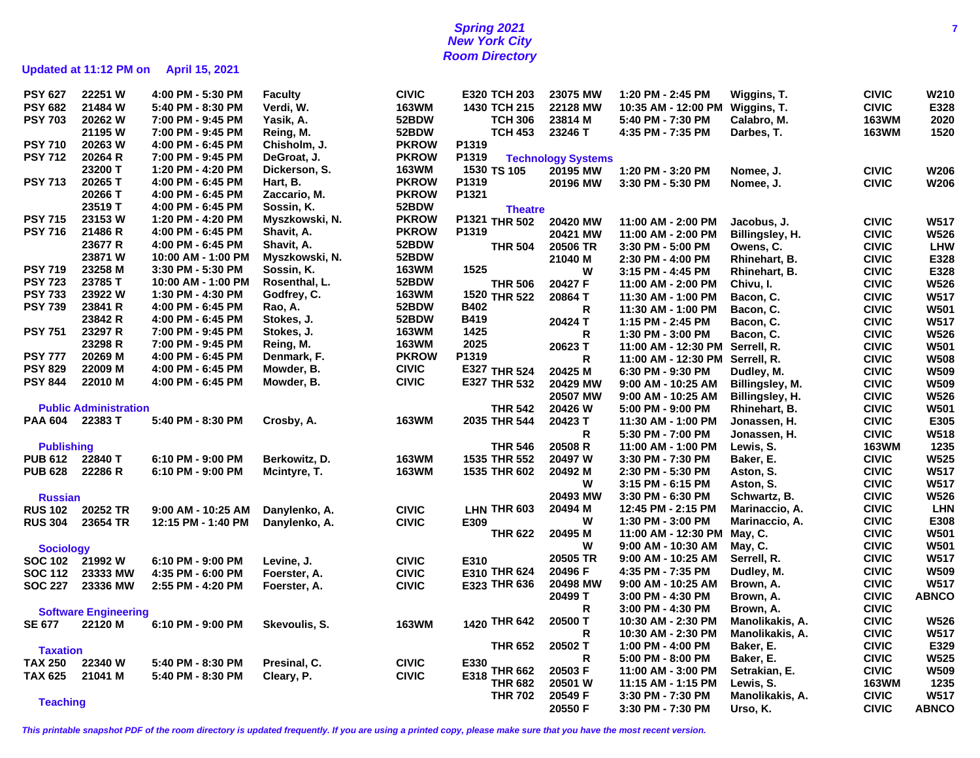# **Spring 2021 7 New York City Room Directory**

# **Updated at 11:12 PM on April 15, 2021**

| <b>PSY 627</b>    | 22251 W                      | 4:00 PM - 5:30 PM  | Faculty        | <b>CIVIC</b> | E320 TCH 203                |                | 23075 MW                  | 1:20 PM - 2:45 PM               | Wiggins, T.     | <b>CIVIC</b> | W210         |
|-------------------|------------------------------|--------------------|----------------|--------------|-----------------------------|----------------|---------------------------|---------------------------------|-----------------|--------------|--------------|
| <b>PSY 682</b>    | 21484 W                      | 5:40 PM - 8:30 PM  | Verdi, W.      | <b>163WM</b> | 1430 TCH 215                |                | 22128 MW                  | 10:35 AM - 12:00 PM Wiggins, T. |                 | <b>CIVIC</b> | E328         |
| <b>PSY 703</b>    | 20262 W                      | 7:00 PM - 9:45 PM  | Yasik, A.      | 52BDW        | <b>TCH 306</b>              |                | 23814 M                   | 5:40 PM - 7:30 PM               | Calabro, M.     | <b>163WM</b> | 2020         |
|                   | 21195 W                      | 7:00 PM - 9:45 PM  | Reing, M.      | 52BDW        | <b>TCH 453</b>              |                | 23246 T                   | 4:35 PM - 7:35 PM               | Darbes, T.      | <b>163WM</b> | 1520         |
| <b>PSY 710</b>    | 20263 W                      | 4:00 PM - 6:45 PM  | Chisholm, J.   | <b>PKROW</b> | P1319                       |                |                           |                                 |                 |              |              |
| <b>PSY 712</b>    | 20264 R                      | 7:00 PM - 9:45 PM  | DeGroat, J.    | <b>PKROW</b> | P1319                       |                | <b>Technology Systems</b> |                                 |                 |              |              |
|                   | 23200 T                      | 1:20 PM - 4:20 PM  | Dickerson, S.  | <b>163WM</b> | 1530 TS 105                 |                | 20195 MW                  | 1:20 PM - 3:20 PM               | Nomee, J.       | <b>CIVIC</b> | <b>W206</b>  |
| <b>PSY 713</b>    | 20265 T                      | 4:00 PM - 6:45 PM  | Hart, B.       | <b>PKROW</b> | P1319                       |                | 20196 MW                  | 3:30 PM - 5:30 PM               | Nomee, J.       | <b>CIVIC</b> | W206         |
|                   | 20266 T                      | 4:00 PM - 6:45 PM  | Zaccario, M.   | <b>PKROW</b> | P1321                       |                |                           |                                 |                 |              |              |
|                   | 23519 T                      | 4:00 PM - 6:45 PM  | Sossin, K.     | 52BDW        |                             | <b>Theatre</b> |                           |                                 |                 |              |              |
| <b>PSY 715</b>    | 23153 W                      | 1:20 PM - 4:20 PM  | Myszkowski, N. | <b>PKROW</b> | P1321 THR 502               |                | 20420 MW                  | 11:00 AM - 2:00 PM              | Jacobus, J.     | <b>CIVIC</b> | W517         |
| <b>PSY 716</b>    | 21486 R                      | 4:00 PM - 6:45 PM  | Shavit, A.     | <b>PKROW</b> | P1319                       |                | 20421 MW                  | 11:00 AM - 2:00 PM              | Billingsley, H. | <b>CIVIC</b> | W526         |
|                   | 23677 R                      | 4:00 PM - 6:45 PM  | Shavit, A.     | 52BDW        | <b>THR 504</b>              |                | 20506 TR                  |                                 |                 | <b>CIVIC</b> | <b>LHW</b>   |
|                   | 23871W                       | 10:00 AM - 1:00 PM | Myszkowski, N. | 52BDW        |                             |                | 21040 M                   | 3:30 PM - 5:00 PM               | Owens, C.       | <b>CIVIC</b> | E328         |
| <b>PSY 719</b>    | 23258 M                      | 3:30 PM - 5:30 PM  | Sossin, K.     | 163WM        | 1525                        |                |                           | 2:30 PM - 4:00 PM               | Rhinehart, B.   |              |              |
| <b>PSY 723</b>    | 23785 T                      | 10:00 AM - 1:00 PM | Rosenthal, L.  | 52BDW        |                             |                | W                         | 3:15 PM - 4:45 PM               | Rhinehart, B.   | <b>CIVIC</b> | E328         |
| <b>PSY 733</b>    | 23922W                       | 1:30 PM - 4:30 PM  | Godfrey, C.    | <b>163WM</b> | <b>THR 506</b>              |                | 20427 F                   | 11:00 AM - 2:00 PM              | Chivu, I.       | <b>CIVIC</b> | <b>W526</b>  |
| <b>PSY 739</b>    | 23841 R                      |                    |                | 52BDW        | 1520 THR 522<br><b>B402</b> |                | 20864 T                   | 11:30 AM - 1:00 PM              | Bacon, C.       | <b>CIVIC</b> | <b>W517</b>  |
|                   |                              | 4:00 PM - 6:45 PM  | Rao, A.        |              |                             |                | R                         | 11:30 AM - 1:00 PM              | Bacon, C.       | <b>CIVIC</b> | <b>W501</b>  |
|                   | 23842 R                      | 4:00 PM - 6:45 PM  | Stokes, J.     | 52BDW        | <b>B419</b>                 |                | 20424 T                   | 1:15 PM - 2:45 PM               | Bacon, C.       | <b>CIVIC</b> | W517         |
| <b>PSY 751</b>    | 23297 R                      | 7:00 PM - 9:45 PM  | Stokes, J.     | <b>163WM</b> | 1425                        |                | R                         | 1:30 PM - 3:00 PM               | Bacon, C.       | <b>CIVIC</b> | <b>W526</b>  |
|                   | 23298 R                      | 7:00 PM - 9:45 PM  | Reing, M.      | <b>163WM</b> | 2025                        |                | 20623 T                   | 11:00 AM - 12:30 PM             | Serrell, R.     | <b>CIVIC</b> | <b>W501</b>  |
| <b>PSY 777</b>    | 20269 M                      | 4:00 PM - 6:45 PM  | Denmark, F.    | <b>PKROW</b> | P1319                       |                | R                         | 11:00 AM - 12:30 PM             | Serrell, R.     | <b>CIVIC</b> | <b>W508</b>  |
| <b>PSY 829</b>    | 22009 M                      | 4:00 PM - 6:45 PM  | Mowder, B.     | <b>CIVIC</b> | E327 THR 524                |                | 20425 M                   | 6:30 PM - 9:30 PM               | Dudley, M.      | <b>CIVIC</b> | W509         |
| <b>PSY 844</b>    | 22010 M                      | 4:00 PM - 6:45 PM  | Mowder, B.     | <b>CIVIC</b> | E327 THR 532                |                | 20429 MW                  | 9:00 AM - 10:25 AM              | Billingsley, M. | <b>CIVIC</b> | W509         |
|                   |                              |                    |                |              |                             |                | 20507 MW                  | 9:00 AM - 10:25 AM              | Billingsley, H. | <b>CIVIC</b> | <b>W526</b>  |
|                   | <b>Public Administration</b> |                    |                |              | <b>THR 542</b>              |                | 20426 W                   | 5:00 PM - 9:00 PM               | Rhinehart, B.   | <b>CIVIC</b> | W501         |
| <b>PAA 604</b>    | 22383 T                      | 5:40 PM - 8:30 PM  | Crosby, A.     | <b>163WM</b> | 2035 THR 544                |                | 20423 T                   | 11:30 AM - 1:00 PM              | Jonassen, H.    | <b>CIVIC</b> | E305         |
|                   |                              |                    |                |              |                             |                | R                         | 5:30 PM - 7:00 PM               | Jonassen, H.    | <b>CIVIC</b> | W518         |
| <b>Publishing</b> |                              |                    |                |              | <b>THR 546</b>              |                | 20508 R                   | 11:00 AM - 1:00 PM              | Lewis, S.       | <b>163WM</b> | 1235         |
| <b>PUB 612</b>    | 22840 T                      | 6:10 PM - 9:00 PM  | Berkowitz, D.  | <b>163WM</b> | 1535 THR 552                |                | 20497 W                   | 3:30 PM - 7:30 PM               | Baker, E.       | <b>CIVIC</b> | W525         |
| <b>PUB 628</b>    | 22286 R                      | 6:10 PM - 9:00 PM  | Mcintyre, T.   | <b>163WM</b> | 1535 THR 602                |                | 20492 M                   | 2:30 PM - 5:30 PM               | Aston, S.       | <b>CIVIC</b> | W517         |
|                   |                              |                    |                |              |                             |                | W                         | 3:15 PM - 6:15 PM               | Aston, S.       | <b>CIVIC</b> | W517         |
| <b>Russian</b>    |                              |                    |                |              |                             |                | 20493 MW                  | 3:30 PM - 6:30 PM               | Schwartz, B.    | <b>CIVIC</b> | W526         |
| <b>RUS 102</b>    | 20252 TR                     | 9:00 AM - 10:25 AM | Danylenko, A.  | <b>CIVIC</b> | LHN THR 603                 |                | 20494 M                   | 12:45 PM - 2:15 PM              | Marinaccio, A.  | <b>CIVIC</b> | <b>LHN</b>   |
| <b>RUS 304</b>    | 23654 TR                     | 12:15 PM - 1:40 PM | Danylenko, A.  | <b>CIVIC</b> | E309                        |                | W                         | 1:30 PM - 3:00 PM               | Marinaccio, A.  | <b>CIVIC</b> | E308         |
|                   |                              |                    |                |              | <b>THR 622</b>              |                | 20495 M                   | 11:00 AM - 12:30 PM             | May, C.         | <b>CIVIC</b> | <b>W501</b>  |
|                   |                              |                    |                |              |                             |                | W                         | 9:00 AM - 10:30 AM              | May, C.         | <b>CIVIC</b> | W501         |
| <b>Sociology</b>  |                              |                    |                |              |                             |                | 20505 TR                  | 9:00 AM - 10:25 AM              | Serrell, R.     | <b>CIVIC</b> | W517         |
| <b>SOC 102</b>    | 21992 W                      | 6:10 PM - 9:00 PM  | Levine, J.     | <b>CIVIC</b> | E310<br>E310 THR 624        |                | 20496 F                   | 4:35 PM - 7:35 PM               | Dudley, M.      | <b>CIVIC</b> | W509         |
| <b>SOC 112</b>    | 23333 MW                     | 4:35 PM - 6:00 PM  | Foerster, A.   | <b>CIVIC</b> |                             |                | 20498 MW                  |                                 |                 | <b>CIVIC</b> | W517         |
| <b>SOC 227</b>    | 23336 MW                     | 2:55 PM - 4:20 PM  | Foerster, A.   | <b>CIVIC</b> | E323 THR 636                |                |                           | 9:00 AM - 10:25 AM              | Brown, A.       | <b>CIVIC</b> | <b>ABNCO</b> |
|                   |                              |                    |                |              |                             |                | 20499 T                   | 3:00 PM - 4:30 PM               | Brown, A.       |              |              |
|                   | <b>Software Engineering</b>  |                    |                |              |                             |                | R                         | 3:00 PM - 4:30 PM               | Brown, A.       | <b>CIVIC</b> |              |
| <b>SE 677</b>     | 22120 M                      | 6:10 PM - 9:00 PM  | Skevoulis, S.  | <b>163WM</b> | 1420 THR 642                |                | 20500 T                   | 10:30 AM - 2:30 PM              | Manolikakis, A. | <b>CIVIC</b> | <b>W526</b>  |
|                   |                              |                    |                |              |                             |                | R                         | 10:30 AM - 2:30 PM              | Manolikakis, A. | <b>CIVIC</b> | W517         |
| <b>Taxation</b>   |                              |                    |                |              | <b>THR 652</b>              |                | 20502 T                   | 1:00 PM - 4:00 PM               | Baker, E.       | <b>CIVIC</b> | E329         |
| <b>TAX 250</b>    | 22340 W                      | 5:40 PM - 8:30 PM  | Presinal, C.   | <b>CIVIC</b> | E330                        |                | R                         | 5:00 PM - 8:00 PM               | Baker, E.       | <b>CIVIC</b> | W525         |
| <b>TAX 625</b>    | 21041 M                      | 5:40 PM - 8:30 PM  | Cleary, P.     | <b>CIVIC</b> | <b>THR 662</b><br>E318      |                | 20503 F                   | 11:00 AM - 3:00 PM              | Setrakian, E.   | <b>CIVIC</b> | W509         |
|                   |                              |                    |                |              | <b>THR 682</b>              |                | 20501 W                   | 11:15 AM - 1:15 PM              | Lewis, S.       | <b>163WM</b> | 1235         |
| <b>Teaching</b>   |                              |                    |                |              | <b>THR 702</b>              |                | 20549 F                   | 3:30 PM - 7:30 PM               | Manolikakis, A. | <b>CIVIC</b> | W517         |
|                   |                              |                    |                |              |                             |                | 20550 F                   | 3:30 PM - 7:30 PM               | Urso, K.        | <b>CIVIC</b> | <b>ABNCO</b> |